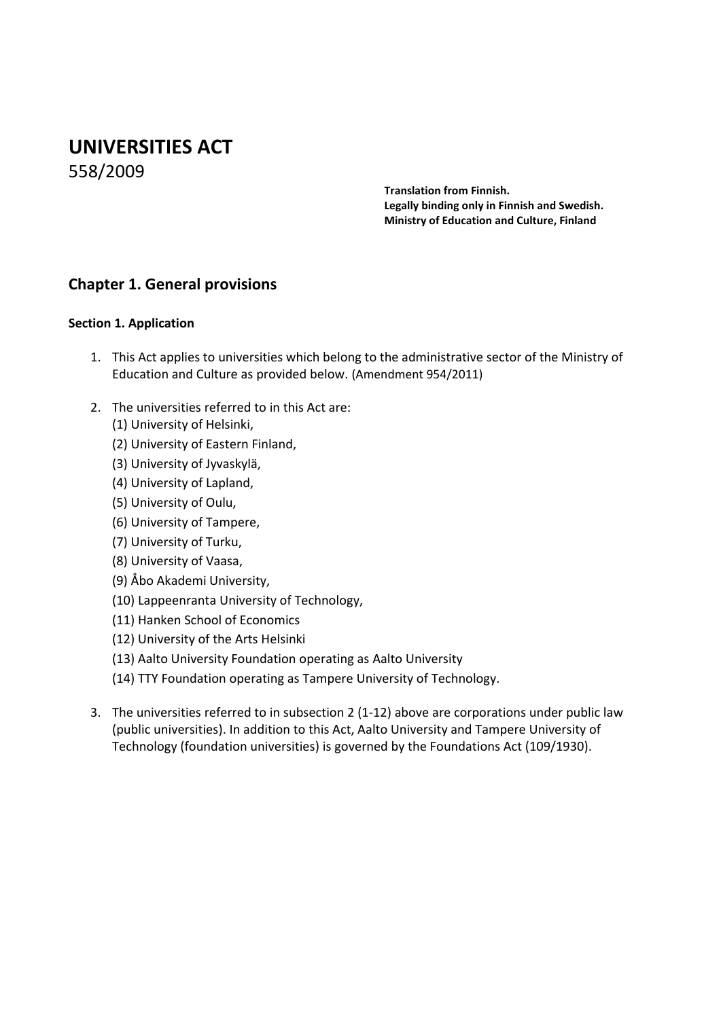# **UNIVERSITIES ACT**

558/2009

**Translation from Finnish. Legally binding only in Finnish and Swedish. Ministry of Education and Culture, Finland**

# **Chapter 1. General provisions**

### **Section 1. Application**

- 1. This Act applies to universities which belong to the administrative sector of the Ministry of Education and Culture as provided below. (Amendment 954/2011)
- 2. The universities referred to in this Act are:
	- (1) University of Helsinki,
	- (2) University of Eastern Finland,
	- (3) University of Jyvaskylä,
	- (4) University of Lapland,
	- (5) University of Oulu,
	- (6) University of Tampere,
	- (7) University of Turku,
	- (8) University of Vaasa,
	- (9) Åbo Akademi University,
	- (10) Lappeenranta University of Technology,
	- (11) Hanken School of Economics
	- (12) University of the Arts Helsinki
	- (13) Aalto University Foundation operating as Aalto University
	- (14) TTY Foundation operating as Tampere University of Technology.
- 3. The universities referred to in subsection 2 (1-12) above are corporations under public law (public universities). In addition to this Act, Aalto University and Tampere University of Technology (foundation universities) is governed by the Foundations Act (109/1930).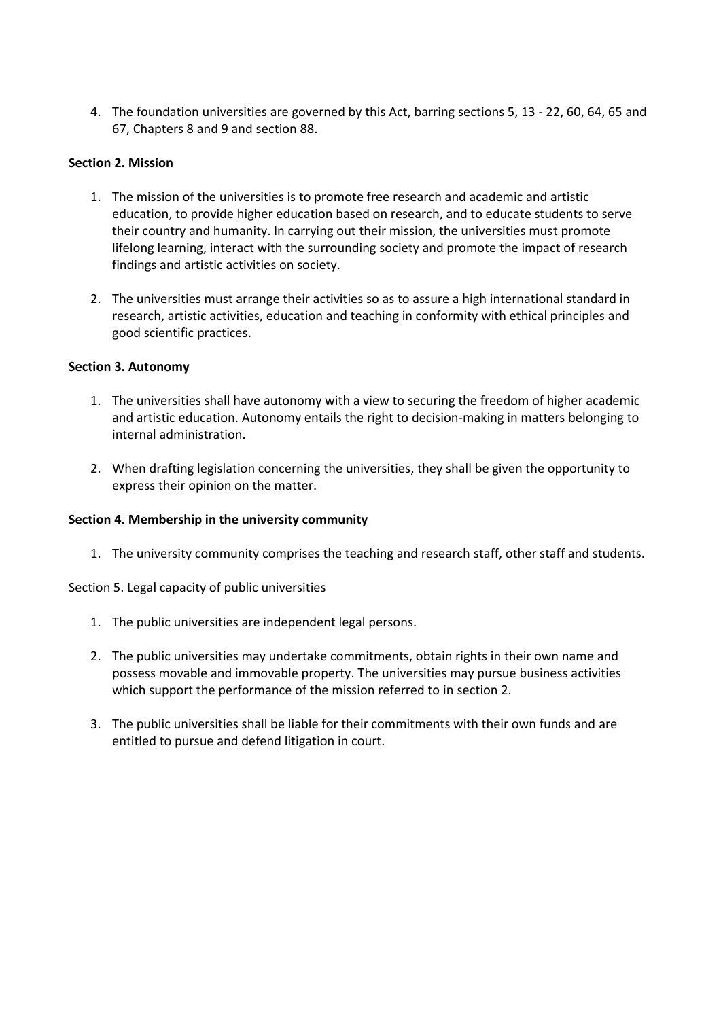4. The foundation universities are governed by this Act, barring sections 5, 13 - 22, 60, 64, 65 and 67, Chapters 8 and 9 and section 88.

#### **Section 2. Mission**

- 1. The mission of the universities is to promote free research and academic and artistic education, to provide higher education based on research, and to educate students to serve their country and humanity. In carrying out their mission, the universities must promote lifelong learning, interact with the surrounding society and promote the impact of research findings and artistic activities on society.
- 2. The universities must arrange their activities so as to assure a high international standard in research, artistic activities, education and teaching in conformity with ethical principles and good scientific practices.

#### **Section 3. Autonomy**

- 1. The universities shall have autonomy with a view to securing the freedom of higher academic and artistic education. Autonomy entails the right to decision-making in matters belonging to internal administration.
- 2. When drafting legislation concerning the universities, they shall be given the opportunity to express their opinion on the matter.

#### **Section 4. Membership in the university community**

1. The university community comprises the teaching and research staff, other staff and students.

Section 5. Legal capacity of public universities

- 1. The public universities are independent legal persons.
- 2. The public universities may undertake commitments, obtain rights in their own name and possess movable and immovable property. The universities may pursue business activities which support the performance of the mission referred to in section 2.
- 3. The public universities shall be liable for their commitments with their own funds and are entitled to pursue and defend litigation in court.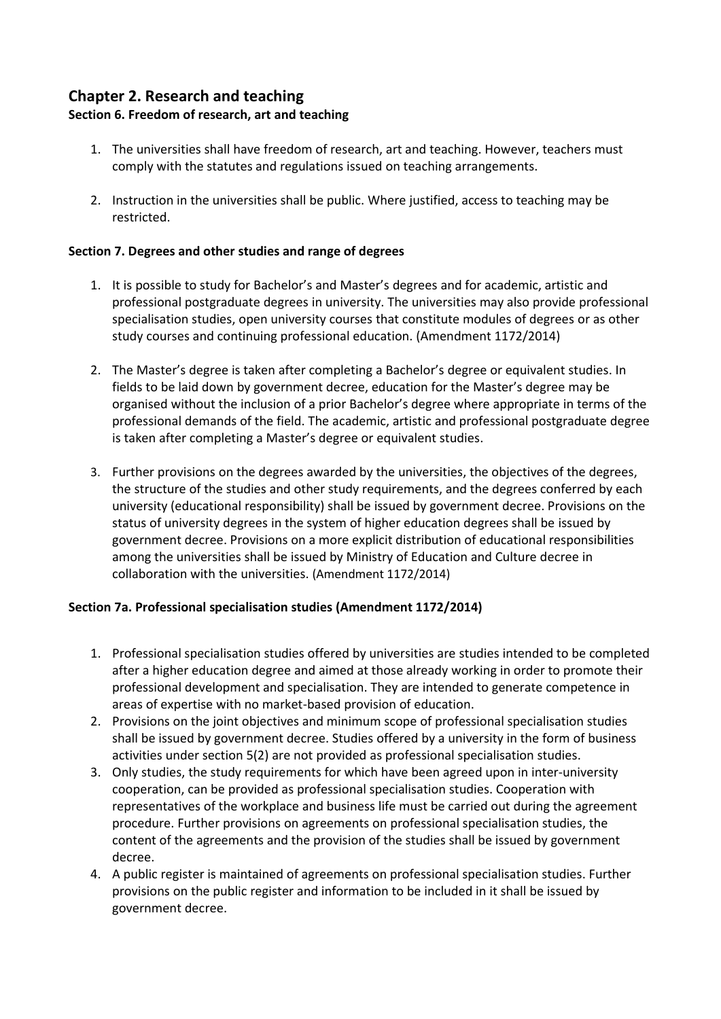# **Chapter 2. Research and teaching**

# **Section 6. Freedom of research, art and teaching**

- 1. The universities shall have freedom of research, art and teaching. However, teachers must comply with the statutes and regulations issued on teaching arrangements.
- 2. Instruction in the universities shall be public. Where justified, access to teaching may be restricted.

# **Section 7. Degrees and other studies and range of degrees**

- 1. It is possible to study for Bachelor's and Master's degrees and for academic, artistic and professional postgraduate degrees in university. The universities may also provide professional specialisation studies, open university courses that constitute modules of degrees or as other study courses and continuing professional education. (Amendment 1172/2014)
- 2. The Master's degree is taken after completing a Bachelor's degree or equivalent studies. In fields to be laid down by government decree, education for the Master's degree may be organised without the inclusion of a prior Bachelor's degree where appropriate in terms of the professional demands of the field. The academic, artistic and professional postgraduate degree is taken after completing a Master's degree or equivalent studies.
- 3. Further provisions on the degrees awarded by the universities, the objectives of the degrees, the structure of the studies and other study requirements, and the degrees conferred by each university (educational responsibility) shall be issued by government decree. Provisions on the status of university degrees in the system of higher education degrees shall be issued by government decree. Provisions on a more explicit distribution of educational responsibilities among the universities shall be issued by Ministry of Education and Culture decree in collaboration with the universities. (Amendment 1172/2014)

# **Section 7a. Professional specialisation studies (Amendment 1172/2014)**

- 1. Professional specialisation studies offered by universities are studies intended to be completed after a higher education degree and aimed at those already working in order to promote their professional development and specialisation. They are intended to generate competence in areas of expertise with no market-based provision of education.
- 2. Provisions on the joint objectives and minimum scope of professional specialisation studies shall be issued by government decree. Studies offered by a university in the form of business activities under section 5(2) are not provided as professional specialisation studies.
- 3. Only studies, the study requirements for which have been agreed upon in inter-university cooperation, can be provided as professional specialisation studies. Cooperation with representatives of the workplace and business life must be carried out during the agreement procedure. Further provisions on agreements on professional specialisation studies, the content of the agreements and the provision of the studies shall be issued by government decree.
- 4. A public register is maintained of agreements on professional specialisation studies. Further provisions on the public register and information to be included in it shall be issued by government decree.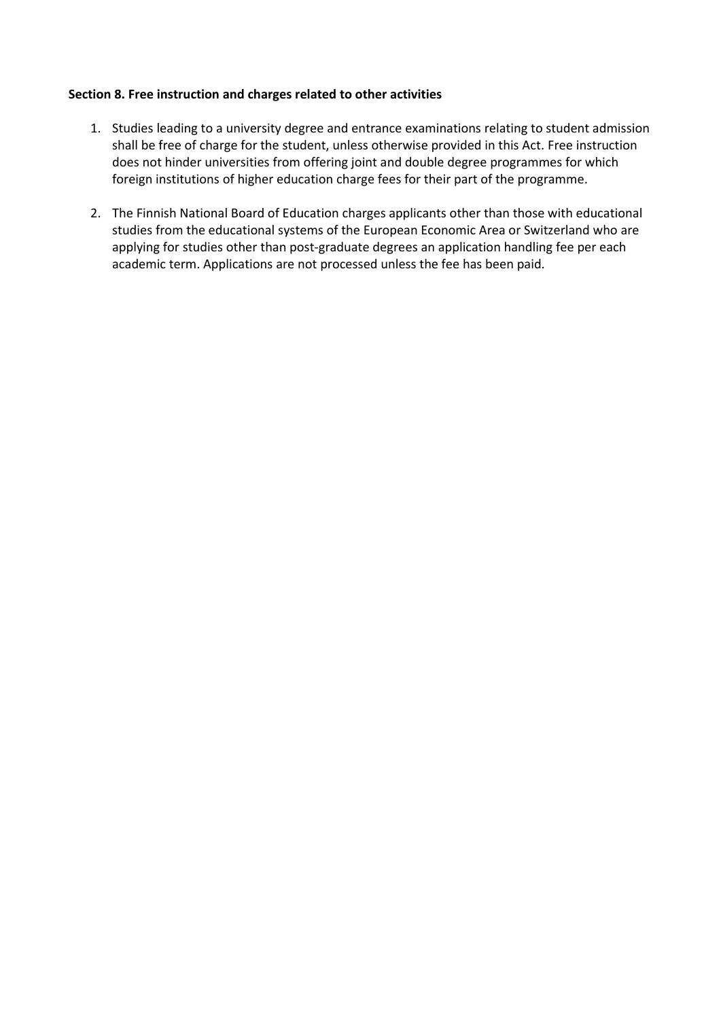#### **Section 8. Free instruction and charges related to other activities**

- 1. Studies leading to a university degree and entrance examinations relating to student admission shall be free of charge for the student, unless otherwise provided in this Act. Free instruction does not hinder universities from offering joint and double degree programmes for which foreign institutions of higher education charge fees for their part of the programme.
- 2. The Finnish National Board of Education charges applicants other than those with educational studies from the educational systems of the European Economic Area or Switzerland who are applying for studies other than post-graduate degrees an application handling fee per each academic term. Applications are not processed unless the fee has been paid.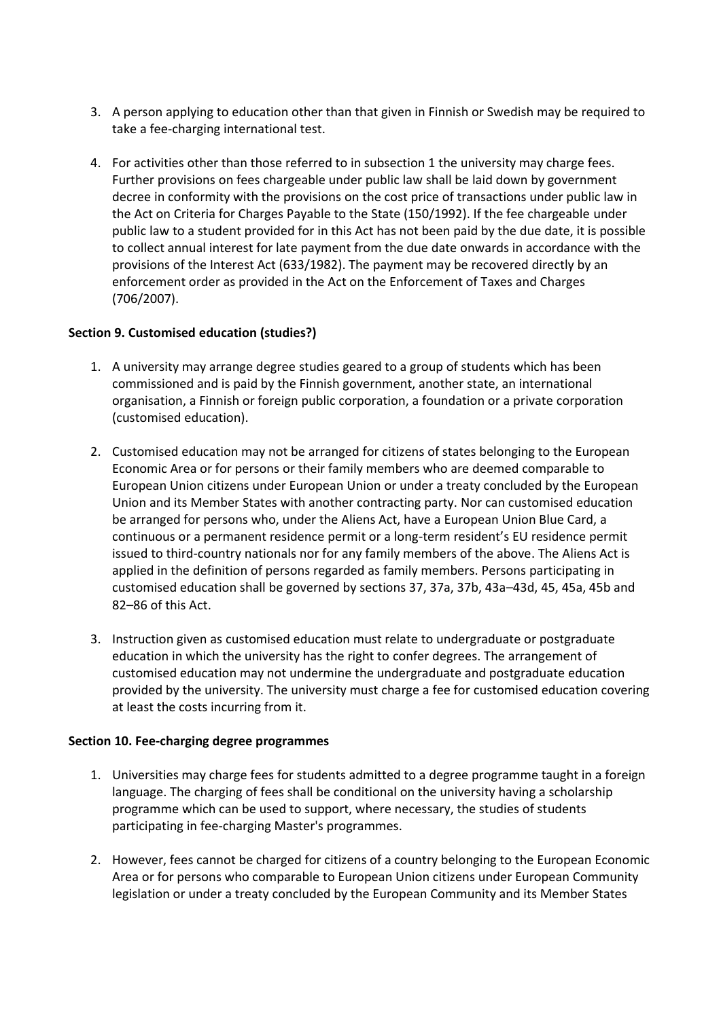- 3. A person applying to education other than that given in Finnish or Swedish may be required to take a fee-charging international test.
- 4. For activities other than those referred to in subsection 1 the university may charge fees. Further provisions on fees chargeable under public law shall be laid down by government decree in conformity with the provisions on the cost price of transactions under public law in the Act on Criteria for Charges Payable to the State (150/1992). If the fee chargeable under public law to a student provided for in this Act has not been paid by the due date, it is possible to collect annual interest for late payment from the due date onwards in accordance with the provisions of the Interest Act (633/1982). The payment may be recovered directly by an enforcement order as provided in the Act on the Enforcement of Taxes and Charges (706/2007).

#### **Section 9. Customised education (studies?)**

- 1. A university may arrange degree studies geared to a group of students which has been commissioned and is paid by the Finnish government, another state, an international organisation, a Finnish or foreign public corporation, a foundation or a private corporation (customised education).
- 2. Customised education may not be arranged for citizens of states belonging to the European Economic Area or for persons or their family members who are deemed comparable to European Union citizens under European Union or under a treaty concluded by the European Union and its Member States with another contracting party. Nor can customised education be arranged for persons who, under the Aliens Act, have a European Union Blue Card, a continuous or a permanent residence permit or a long-term resident's EU residence permit issued to third-country nationals nor for any family members of the above. The Aliens Act is applied in the definition of persons regarded as family members. Persons participating in customised education shall be governed by sections 37, 37a, 37b, 43a–43d, 45, 45a, 45b and 82–86 of this Act.
- 3. Instruction given as customised education must relate to undergraduate or postgraduate education in which the university has the right to confer degrees. The arrangement of customised education may not undermine the undergraduate and postgraduate education provided by the university. The university must charge a fee for customised education covering at least the costs incurring from it.

#### **Section 10. Fee-charging degree programmes**

- 1. Universities may charge fees for students admitted to a degree programme taught in a foreign language. The charging of fees shall be conditional on the university having a scholarship programme which can be used to support, where necessary, the studies of students participating in fee-charging Master's programmes.
- 2. However, fees cannot be charged for citizens of a country belonging to the European Economic Area or for persons who comparable to European Union citizens under European Community legislation or under a treaty concluded by the European Community and its Member States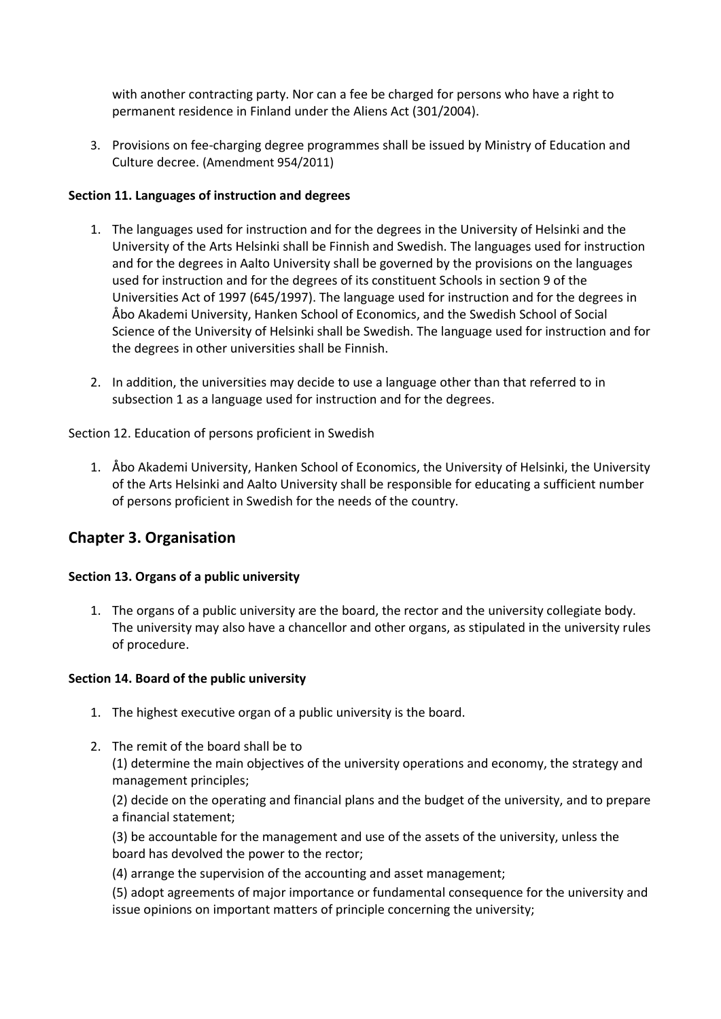with another contracting party. Nor can a fee be charged for persons who have a right to permanent residence in Finland under the Aliens Act (301/2004).

3. Provisions on fee-charging degree programmes shall be issued by Ministry of Education and Culture decree. (Amendment 954/2011)

### **Section 11. Languages of instruction and degrees**

- 1. The languages used for instruction and for the degrees in the University of Helsinki and the University of the Arts Helsinki shall be Finnish and Swedish. The languages used for instruction and for the degrees in Aalto University shall be governed by the provisions on the languages used for instruction and for the degrees of its constituent Schools in section 9 of the Universities Act of 1997 (645/1997). The language used for instruction and for the degrees in Åbo Akademi University, Hanken School of Economics, and the Swedish School of Social Science of the University of Helsinki shall be Swedish. The language used for instruction and for the degrees in other universities shall be Finnish.
- 2. In addition, the universities may decide to use a language other than that referred to in subsection 1 as a language used for instruction and for the degrees.

Section 12. Education of persons proficient in Swedish

1. Åbo Akademi University, Hanken School of Economics, the University of Helsinki, the University of the Arts Helsinki and Aalto University shall be responsible for educating a sufficient number of persons proficient in Swedish for the needs of the country.

# **Chapter 3. Organisation**

# **Section 13. Organs of a public university**

1. The organs of a public university are the board, the rector and the university collegiate body. The university may also have a chancellor and other organs, as stipulated in the university rules of procedure.

#### **Section 14. Board of the public university**

- 1. The highest executive organ of a public university is the board.
- 2. The remit of the board shall be to (1) determine the main objectives of the university operations and economy, the strategy and management principles;

(2) decide on the operating and financial plans and the budget of the university, and to prepare a financial statement;

(3) be accountable for the management and use of the assets of the university, unless the board has devolved the power to the rector;

(4) arrange the supervision of the accounting and asset management;

(5) adopt agreements of major importance or fundamental consequence for the university and issue opinions on important matters of principle concerning the university;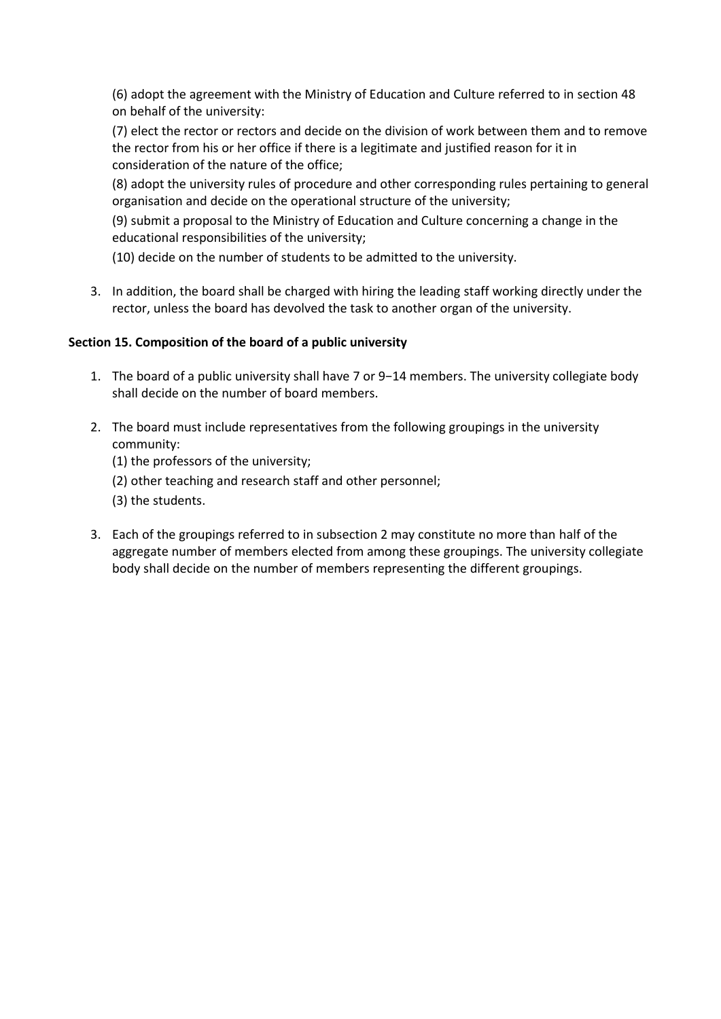(6) adopt the agreement with the Ministry of Education and Culture referred to in section 48 on behalf of the university:

(7) elect the rector or rectors and decide on the division of work between them and to remove the rector from his or her office if there is a legitimate and justified reason for it in consideration of the nature of the office;

(8) adopt the university rules of procedure and other corresponding rules pertaining to general organisation and decide on the operational structure of the university;

(9) submit a proposal to the Ministry of Education and Culture concerning a change in the educational responsibilities of the university;

(10) decide on the number of students to be admitted to the university.

3. In addition, the board shall be charged with hiring the leading staff working directly under the rector, unless the board has devolved the task to another organ of the university.

# **Section 15. Composition of the board of a public university**

- 1. The board of a public university shall have 7 or 9−14 members. The university collegiate body shall decide on the number of board members.
- 2. The board must include representatives from the following groupings in the university community:
	- (1) the professors of the university;
	- (2) other teaching and research staff and other personnel;
	- (3) the students.
- 3. Each of the groupings referred to in subsection 2 may constitute no more than half of the aggregate number of members elected from among these groupings. The university collegiate body shall decide on the number of members representing the different groupings.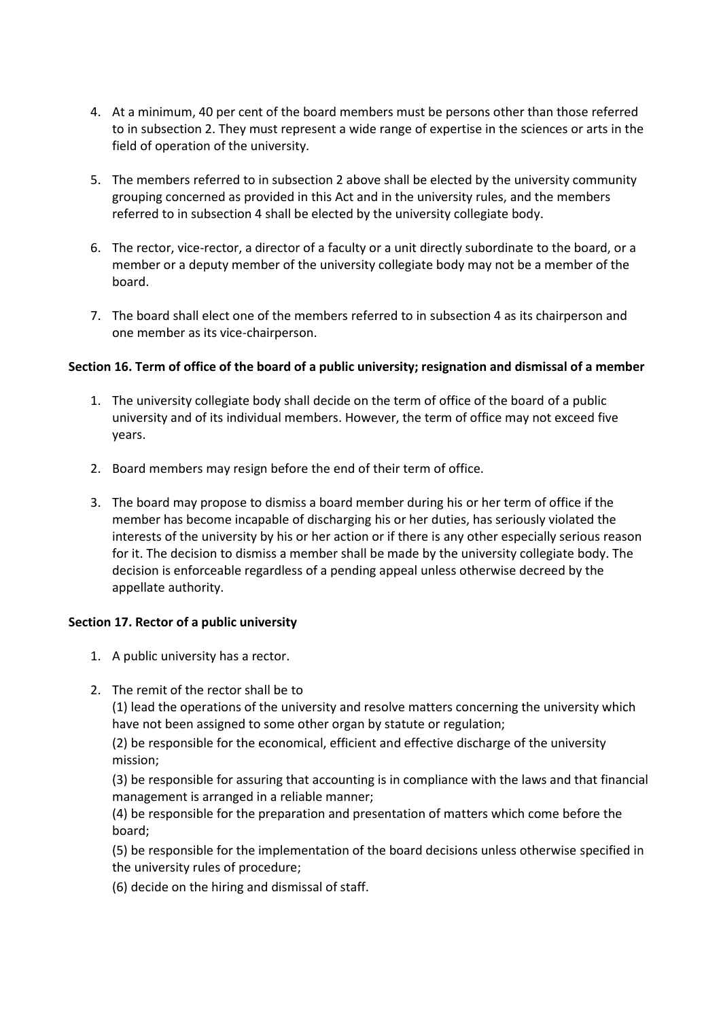- 4. At a minimum, 40 per cent of the board members must be persons other than those referred to in subsection 2. They must represent a wide range of expertise in the sciences or arts in the field of operation of the university.
- 5. The members referred to in subsection 2 above shall be elected by the university community grouping concerned as provided in this Act and in the university rules, and the members referred to in subsection 4 shall be elected by the university collegiate body.
- 6. The rector, vice-rector, a director of a faculty or a unit directly subordinate to the board, or a member or a deputy member of the university collegiate body may not be a member of the board.
- 7. The board shall elect one of the members referred to in subsection 4 as its chairperson and one member as its vice-chairperson.

#### **Section 16. Term of office of the board of a public university; resignation and dismissal of a member**

- 1. The university collegiate body shall decide on the term of office of the board of a public university and of its individual members. However, the term of office may not exceed five years.
- 2. Board members may resign before the end of their term of office.
- 3. The board may propose to dismiss a board member during his or her term of office if the member has become incapable of discharging his or her duties, has seriously violated the interests of the university by his or her action or if there is any other especially serious reason for it. The decision to dismiss a member shall be made by the university collegiate body. The decision is enforceable regardless of a pending appeal unless otherwise decreed by the appellate authority.

#### **Section 17. Rector of a public university**

- 1. A public university has a rector.
- 2. The remit of the rector shall be to

(1) lead the operations of the university and resolve matters concerning the university which have not been assigned to some other organ by statute or regulation;

(2) be responsible for the economical, efficient and effective discharge of the university mission;

(3) be responsible for assuring that accounting is in compliance with the laws and that financial management is arranged in a reliable manner;

(4) be responsible for the preparation and presentation of matters which come before the board;

(5) be responsible for the implementation of the board decisions unless otherwise specified in the university rules of procedure;

(6) decide on the hiring and dismissal of staff.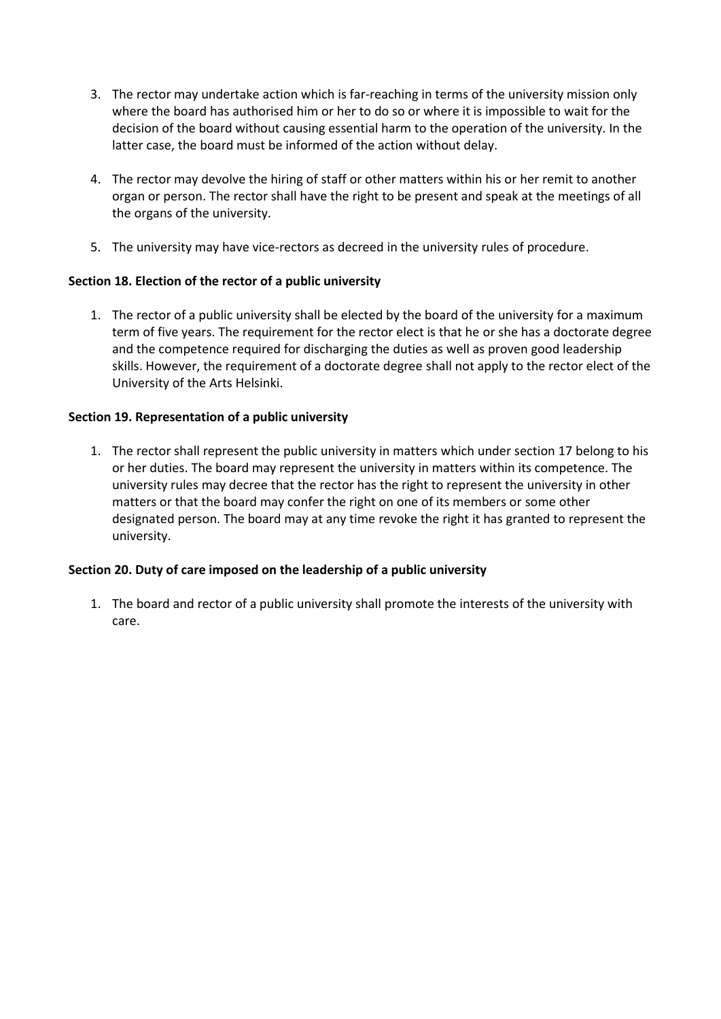- 3. The rector may undertake action which is far-reaching in terms of the university mission only where the board has authorised him or her to do so or where it is impossible to wait for the decision of the board without causing essential harm to the operation of the university. In the latter case, the board must be informed of the action without delay.
- 4. The rector may devolve the hiring of staff or other matters within his or her remit to another organ or person. The rector shall have the right to be present and speak at the meetings of all the organs of the university.
- 5. The university may have vice-rectors as decreed in the university rules of procedure.

### **Section 18. Election of the rector of a public university**

1. The rector of a public university shall be elected by the board of the university for a maximum term of five years. The requirement for the rector elect is that he or she has a doctorate degree and the competence required for discharging the duties as well as proven good leadership skills. However, the requirement of a doctorate degree shall not apply to the rector elect of the University of the Arts Helsinki.

### **Section 19. Representation of a public university**

1. The rector shall represent the public university in matters which under section 17 belong to his or her duties. The board may represent the university in matters within its competence. The university rules may decree that the rector has the right to represent the university in other matters or that the board may confer the right on one of its members or some other designated person. The board may at any time revoke the right it has granted to represent the university.

#### **Section 20. Duty of care imposed on the leadership of a public university**

1. The board and rector of a public university shall promote the interests of the university with care.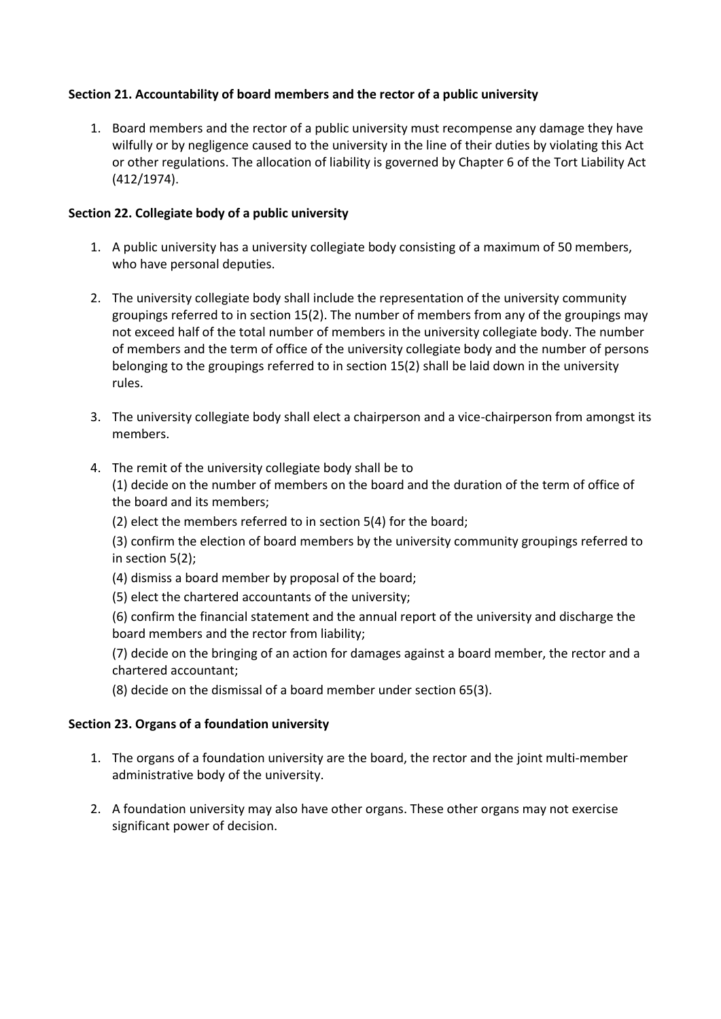# **Section 21. Accountability of board members and the rector of a public university**

1. Board members and the rector of a public university must recompense any damage they have wilfully or by negligence caused to the university in the line of their duties by violating this Act or other regulations. The allocation of liability is governed by Chapter 6 of the Tort Liability Act (412/1974).

#### **Section 22. Collegiate body of a public university**

- 1. A public university has a university collegiate body consisting of a maximum of 50 members, who have personal deputies.
- 2. The university collegiate body shall include the representation of the university community groupings referred to in section 15(2). The number of members from any of the groupings may not exceed half of the total number of members in the university collegiate body. The number of members and the term of office of the university collegiate body and the number of persons belonging to the groupings referred to in section 15(2) shall be laid down in the university rules.
- 3. The university collegiate body shall elect a chairperson and a vice-chairperson from amongst its members.
- 4. The remit of the university collegiate body shall be to (1) decide on the number of members on the board and the duration of the term of office of the board and its members;
	- (2) elect the members referred to in section 5(4) for the board;

(3) confirm the election of board members by the university community groupings referred to in section 5(2);

- (4) dismiss a board member by proposal of the board;
- (5) elect the chartered accountants of the university;

(6) confirm the financial statement and the annual report of the university and discharge the board members and the rector from liability;

(7) decide on the bringing of an action for damages against a board member, the rector and a chartered accountant;

(8) decide on the dismissal of a board member under section 65(3).

#### **Section 23. Organs of a foundation university**

- 1. The organs of a foundation university are the board, the rector and the joint multi-member administrative body of the university.
- 2. A foundation university may also have other organs. These other organs may not exercise significant power of decision.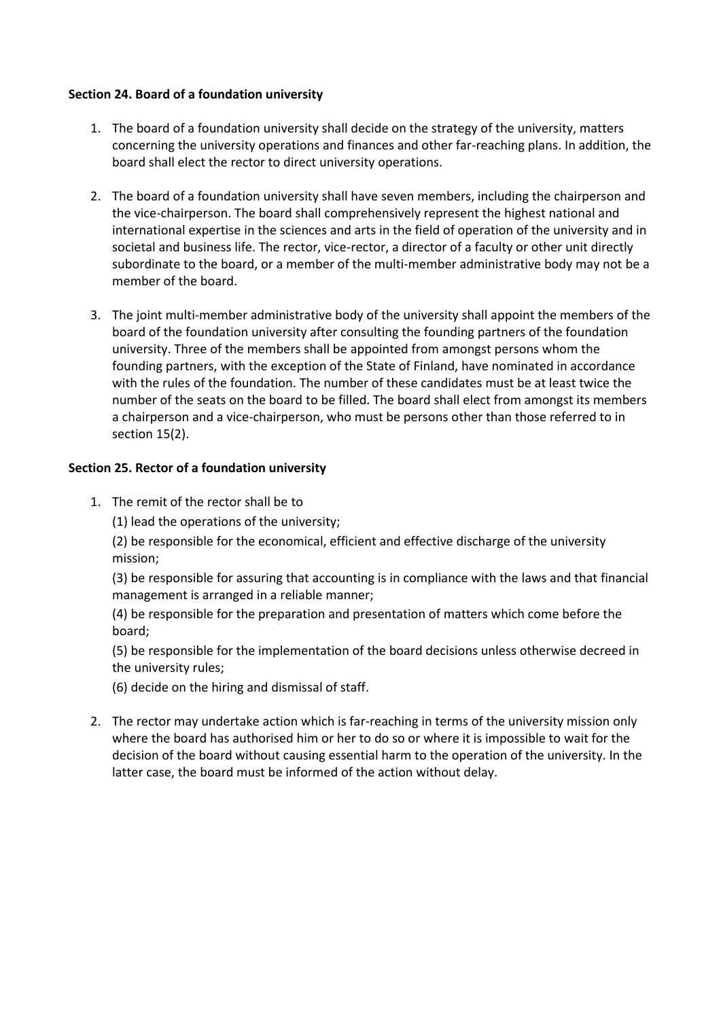#### **Section 24. Board of a foundation university**

- 1. The board of a foundation university shall decide on the strategy of the university, matters concerning the university operations and finances and other far-reaching plans. In addition, the board shall elect the rector to direct university operations.
- 2. The board of a foundation university shall have seven members, including the chairperson and the vice-chairperson. The board shall comprehensively represent the highest national and international expertise in the sciences and arts in the field of operation of the university and in societal and business life. The rector, vice-rector, a director of a faculty or other unit directly subordinate to the board, or a member of the multi-member administrative body may not be a member of the board.
- 3. The joint multi-member administrative body of the university shall appoint the members of the board of the foundation university after consulting the founding partners of the foundation university. Three of the members shall be appointed from amongst persons whom the founding partners, with the exception of the State of Finland, have nominated in accordance with the rules of the foundation. The number of these candidates must be at least twice the number of the seats on the board to be filled. The board shall elect from amongst its members a chairperson and a vice-chairperson, who must be persons other than those referred to in section 15(2).

### **Section 25. Rector of a foundation university**

- 1. The remit of the rector shall be to
	- (1) lead the operations of the university;

(2) be responsible for the economical, efficient and effective discharge of the university mission;

(3) be responsible for assuring that accounting is in compliance with the laws and that financial management is arranged in a reliable manner;

(4) be responsible for the preparation and presentation of matters which come before the board;

(5) be responsible for the implementation of the board decisions unless otherwise decreed in the university rules;

- (6) decide on the hiring and dismissal of staff.
- 2. The rector may undertake action which is far-reaching in terms of the university mission only where the board has authorised him or her to do so or where it is impossible to wait for the decision of the board without causing essential harm to the operation of the university. In the latter case, the board must be informed of the action without delay.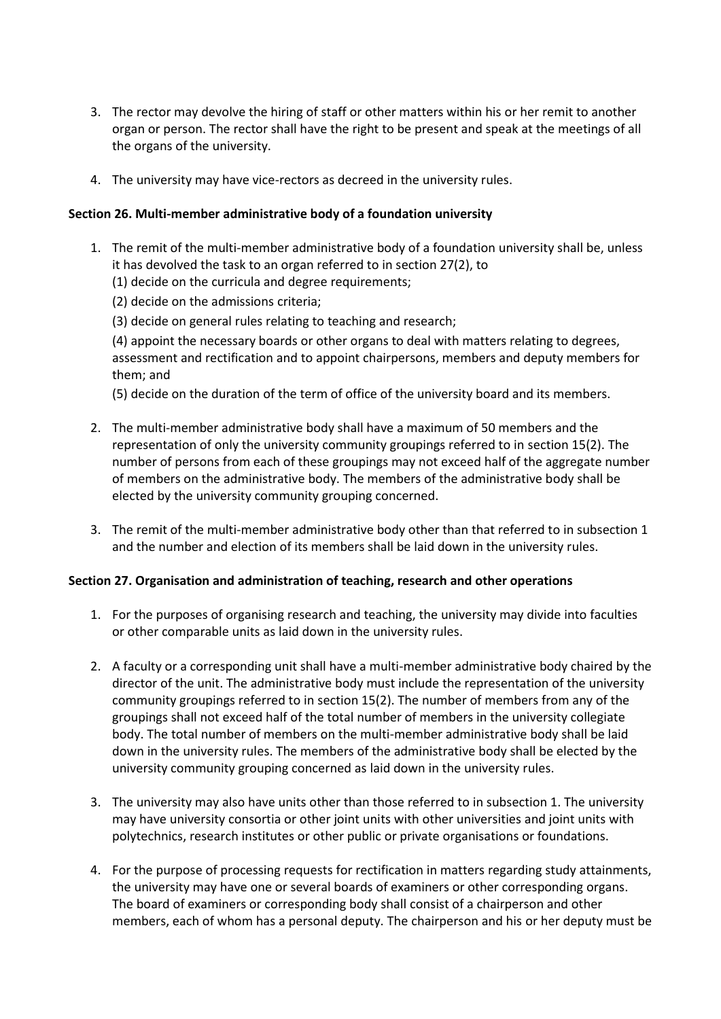- 3. The rector may devolve the hiring of staff or other matters within his or her remit to another organ or person. The rector shall have the right to be present and speak at the meetings of all the organs of the university.
- 4. The university may have vice-rectors as decreed in the university rules.

#### **Section 26. Multi-member administrative body of a foundation university**

- 1. The remit of the multi-member administrative body of a foundation university shall be, unless it has devolved the task to an organ referred to in section 27(2), to
	- (1) decide on the curricula and degree requirements;
	- (2) decide on the admissions criteria;
	- (3) decide on general rules relating to teaching and research;

(4) appoint the necessary boards or other organs to deal with matters relating to degrees, assessment and rectification and to appoint chairpersons, members and deputy members for them; and

- (5) decide on the duration of the term of office of the university board and its members.
- 2. The multi-member administrative body shall have a maximum of 50 members and the representation of only the university community groupings referred to in section 15(2). The number of persons from each of these groupings may not exceed half of the aggregate number of members on the administrative body. The members of the administrative body shall be elected by the university community grouping concerned.
- 3. The remit of the multi-member administrative body other than that referred to in subsection 1 and the number and election of its members shall be laid down in the university rules.

#### **Section 27. Organisation and administration of teaching, research and other operations**

- 1. For the purposes of organising research and teaching, the university may divide into faculties or other comparable units as laid down in the university rules.
- 2. A faculty or a corresponding unit shall have a multi-member administrative body chaired by the director of the unit. The administrative body must include the representation of the university community groupings referred to in section 15(2). The number of members from any of the groupings shall not exceed half of the total number of members in the university collegiate body. The total number of members on the multi-member administrative body shall be laid down in the university rules. The members of the administrative body shall be elected by the university community grouping concerned as laid down in the university rules.
- 3. The university may also have units other than those referred to in subsection 1. The university may have university consortia or other joint units with other universities and joint units with polytechnics, research institutes or other public or private organisations or foundations.
- 4. For the purpose of processing requests for rectification in matters regarding study attainments, the university may have one or several boards of examiners or other corresponding organs. The board of examiners or corresponding body shall consist of a chairperson and other members, each of whom has a personal deputy. The chairperson and his or her deputy must be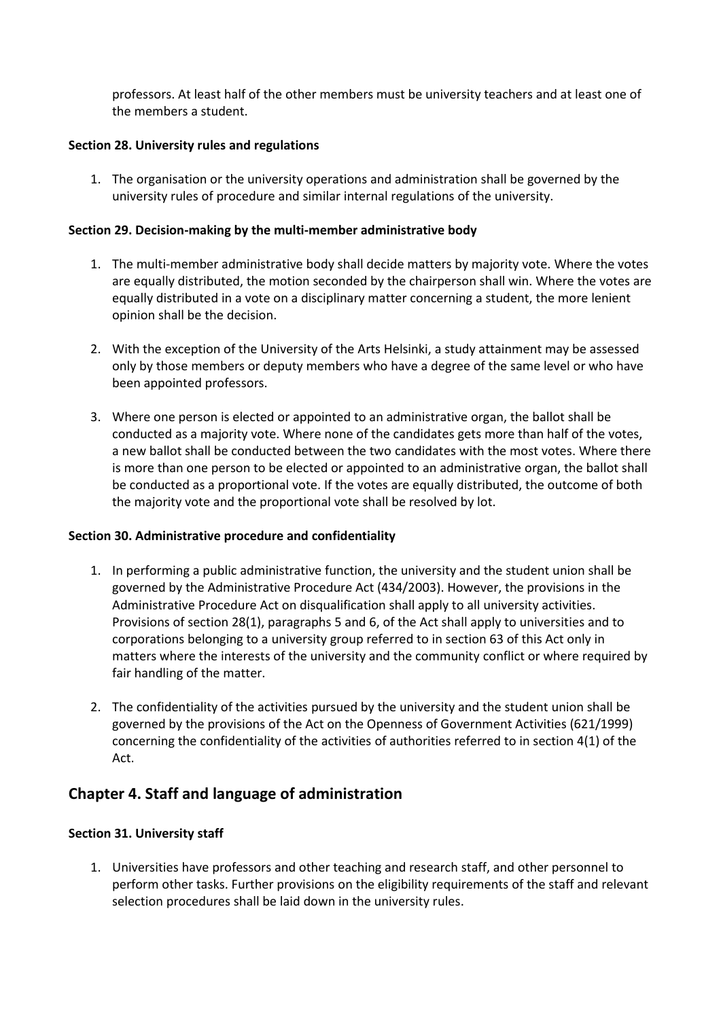professors. At least half of the other members must be university teachers and at least one of the members a student.

#### **Section 28. University rules and regulations**

1. The organisation or the university operations and administration shall be governed by the university rules of procedure and similar internal regulations of the university.

#### **Section 29. Decision-making by the multi-member administrative body**

- 1. The multi-member administrative body shall decide matters by majority vote. Where the votes are equally distributed, the motion seconded by the chairperson shall win. Where the votes are equally distributed in a vote on a disciplinary matter concerning a student, the more lenient opinion shall be the decision.
- 2. With the exception of the University of the Arts Helsinki, a study attainment may be assessed only by those members or deputy members who have a degree of the same level or who have been appointed professors.
- 3. Where one person is elected or appointed to an administrative organ, the ballot shall be conducted as a majority vote. Where none of the candidates gets more than half of the votes, a new ballot shall be conducted between the two candidates with the most votes. Where there is more than one person to be elected or appointed to an administrative organ, the ballot shall be conducted as a proportional vote. If the votes are equally distributed, the outcome of both the majority vote and the proportional vote shall be resolved by lot.

#### **Section 30. Administrative procedure and confidentiality**

- 1. In performing a public administrative function, the university and the student union shall be governed by the Administrative Procedure Act (434/2003). However, the provisions in the Administrative Procedure Act on disqualification shall apply to all university activities. Provisions of section 28(1), paragraphs 5 and 6, of the Act shall apply to universities and to corporations belonging to a university group referred to in section 63 of this Act only in matters where the interests of the university and the community conflict or where required by fair handling of the matter.
- 2. The confidentiality of the activities pursued by the university and the student union shall be governed by the provisions of the Act on the Openness of Government Activities (621/1999) concerning the confidentiality of the activities of authorities referred to in section 4(1) of the Act.

# **Chapter 4. Staff and language of administration**

# **Section 31. University staff**

1. Universities have professors and other teaching and research staff, and other personnel to perform other tasks. Further provisions on the eligibility requirements of the staff and relevant selection procedures shall be laid down in the university rules.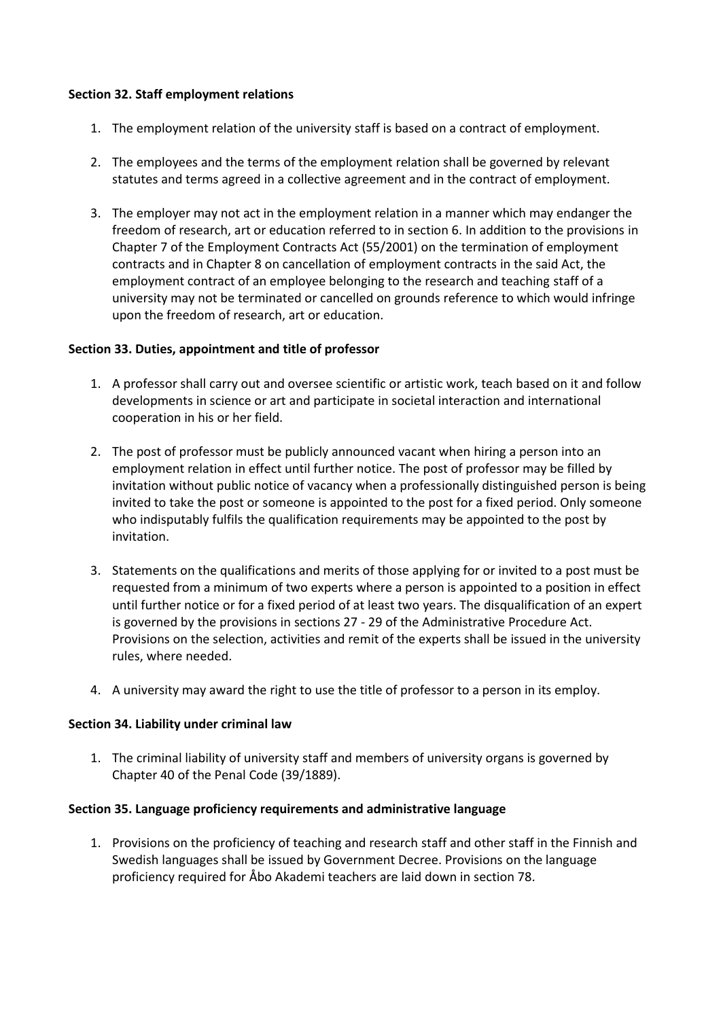#### **Section 32. Staff employment relations**

- 1. The employment relation of the university staff is based on a contract of employment.
- 2. The employees and the terms of the employment relation shall be governed by relevant statutes and terms agreed in a collective agreement and in the contract of employment.
- 3. The employer may not act in the employment relation in a manner which may endanger the freedom of research, art or education referred to in section 6. In addition to the provisions in Chapter 7 of the Employment Contracts Act (55/2001) on the termination of employment contracts and in Chapter 8 on cancellation of employment contracts in the said Act, the employment contract of an employee belonging to the research and teaching staff of a university may not be terminated or cancelled on grounds reference to which would infringe upon the freedom of research, art or education.

#### **Section 33. Duties, appointment and title of professor**

- 1. A professor shall carry out and oversee scientific or artistic work, teach based on it and follow developments in science or art and participate in societal interaction and international cooperation in his or her field.
- 2. The post of professor must be publicly announced vacant when hiring a person into an employment relation in effect until further notice. The post of professor may be filled by invitation without public notice of vacancy when a professionally distinguished person is being invited to take the post or someone is appointed to the post for a fixed period. Only someone who indisputably fulfils the qualification requirements may be appointed to the post by invitation.
- 3. Statements on the qualifications and merits of those applying for or invited to a post must be requested from a minimum of two experts where a person is appointed to a position in effect until further notice or for a fixed period of at least two years. The disqualification of an expert is governed by the provisions in sections 27 - 29 of the Administrative Procedure Act. Provisions on the selection, activities and remit of the experts shall be issued in the university rules, where needed.
- 4. A university may award the right to use the title of professor to a person in its employ.

#### **Section 34. Liability under criminal law**

1. The criminal liability of university staff and members of university organs is governed by Chapter 40 of the Penal Code (39/1889).

#### **Section 35. Language proficiency requirements and administrative language**

1. Provisions on the proficiency of teaching and research staff and other staff in the Finnish and Swedish languages shall be issued by Government Decree. Provisions on the language proficiency required for Åbo Akademi teachers are laid down in section 78.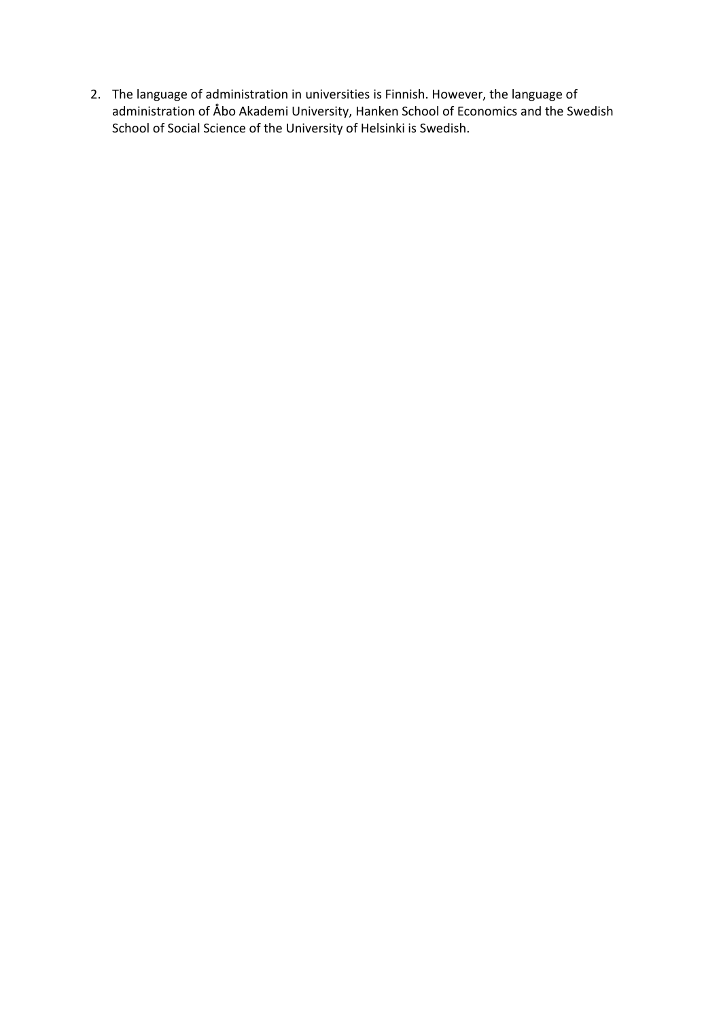2. The language of administration in universities is Finnish. However, the language of administration of Åbo Akademi University, Hanken School of Economics and the Swedish School of Social Science of the University of Helsinki is Swedish.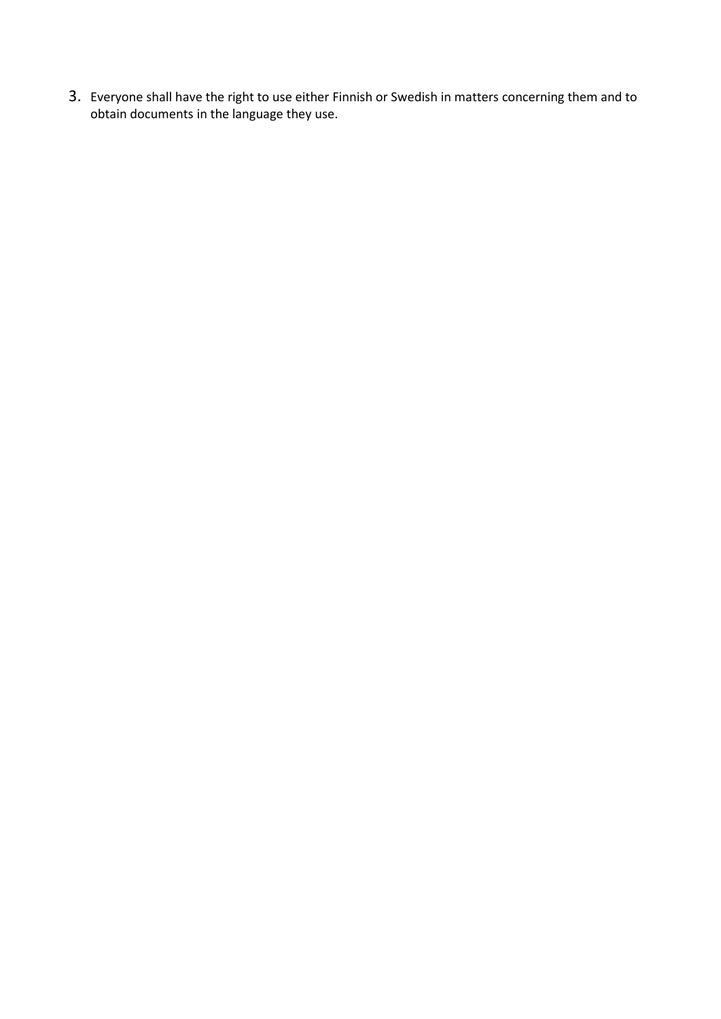3. Everyone shall have the right to use either Finnish or Swedish in matters concerning them and to obtain documents in the language they use.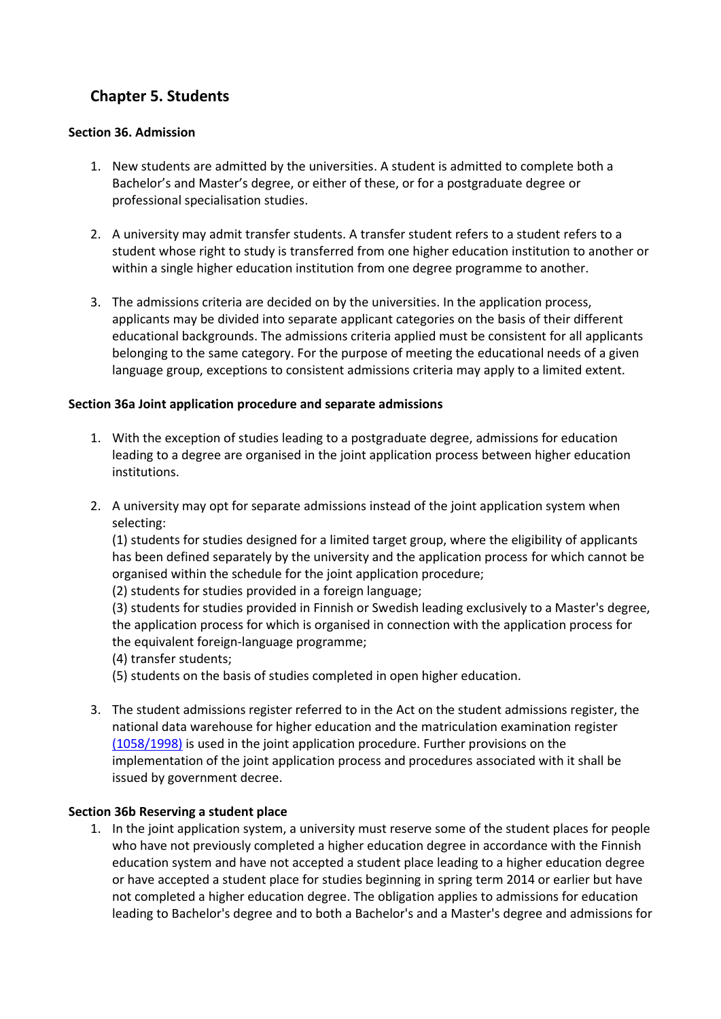# **Chapter 5. Students**

#### **Section 36. Admission**

- 1. New students are admitted by the universities. A student is admitted to complete both a Bachelor's and Master's degree, or either of these, or for a postgraduate degree or professional specialisation studies.
- 2. A university may admit transfer students. A transfer student refers to a student refers to a student whose right to study is transferred from one higher education institution to another or within a single higher education institution from one degree programme to another.
- 3. The admissions criteria are decided on by the universities. In the application process, applicants may be divided into separate applicant categories on the basis of their different educational backgrounds. The admissions criteria applied must be consistent for all applicants belonging to the same category. For the purpose of meeting the educational needs of a given language group, exceptions to consistent admissions criteria may apply to a limited extent.

#### **Section 36a Joint application procedure and separate admissions**

- 1. With the exception of studies leading to a postgraduate degree, admissions for education leading to a degree are organised in the joint application process between higher education institutions.
- 2. A university may opt for separate admissions instead of the joint application system when selecting:

(1) students for studies designed for a limited target group, where the eligibility of applicants has been defined separately by the university and the application process for which cannot be organised within the schedule for the joint application procedure;

(2) students for studies provided in a foreign language;

(3) students for studies provided in Finnish or Swedish leading exclusively to a Master's degree, the application process for which is organised in connection with the application process for the equivalent foreign-language programme;

(4) transfer students;

(5) students on the basis of studies completed in open higher education.

3. The student admissions register referred to in the Act on the student admissions register, the national data warehouse for higher education and the matriculation examination register [\(1058/1998\)](https://lc.lingsoft.fi/fi/laki/ajantasa/1998/19981058) is used in the joint application procedure. Further provisions on the implementation of the joint application process and procedures associated with it shall be issued by government decree.

# **Section 36b Reserving a student place**

1. In the joint application system, a university must reserve some of the student places for people who have not previously completed a higher education degree in accordance with the Finnish education system and have not accepted a student place leading to a higher education degree or have accepted a student place for studies beginning in spring term 2014 or earlier but have not completed a higher education degree. The obligation applies to admissions for education leading to Bachelor's degree and to both a Bachelor's and a Master's degree and admissions for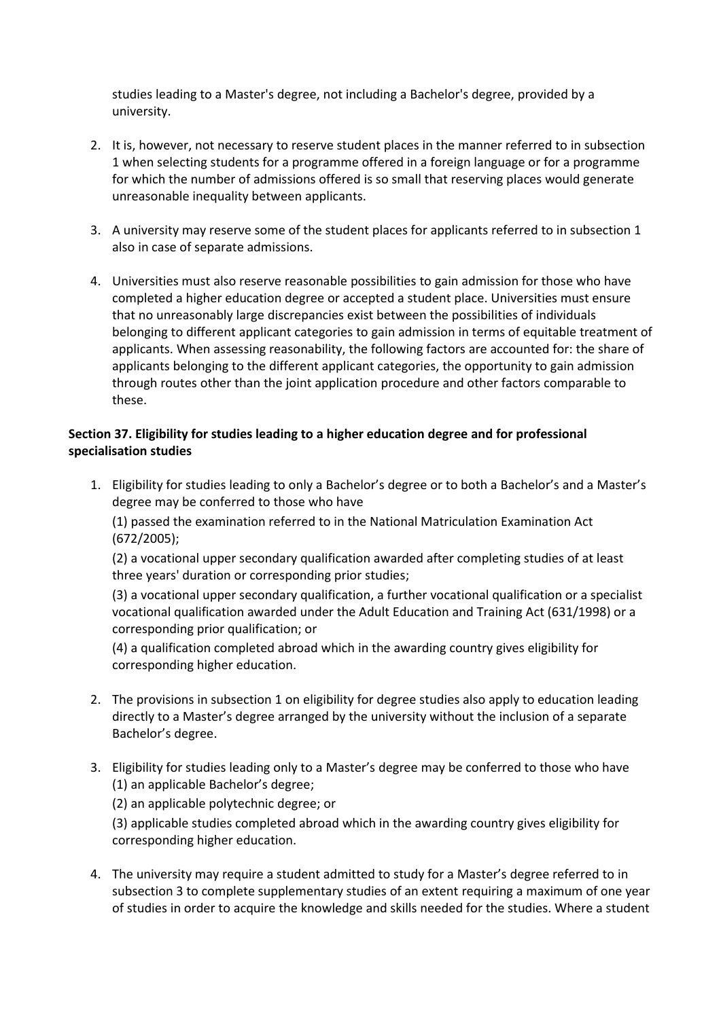studies leading to a Master's degree, not including a Bachelor's degree, provided by a university.

- 2. It is, however, not necessary to reserve student places in the manner referred to in subsection 1 when selecting students for a programme offered in a foreign language or for a programme for which the number of admissions offered is so small that reserving places would generate unreasonable inequality between applicants.
- 3. A university may reserve some of the student places for applicants referred to in subsection 1 also in case of separate admissions.
- 4. Universities must also reserve reasonable possibilities to gain admission for those who have completed a higher education degree or accepted a student place. Universities must ensure that no unreasonably large discrepancies exist between the possibilities of individuals belonging to different applicant categories to gain admission in terms of equitable treatment of applicants. When assessing reasonability, the following factors are accounted for: the share of applicants belonging to the different applicant categories, the opportunity to gain admission through routes other than the joint application procedure and other factors comparable to these.

# **Section 37. Eligibility for studies leading to a higher education degree and for professional specialisation studies**

1. Eligibility for studies leading to only a Bachelor's degree or to both a Bachelor's and a Master's degree may be conferred to those who have

(1) passed the examination referred to in the National Matriculation Examination Act (672/2005);

(2) a vocational upper secondary qualification awarded after completing studies of at least three years' duration or corresponding prior studies;

(3) a vocational upper secondary qualification, a further vocational qualification or a specialist vocational qualification awarded under the Adult Education and Training Act (631/1998) or a corresponding prior qualification; or

(4) a qualification completed abroad which in the awarding country gives eligibility for corresponding higher education.

- 2. The provisions in subsection 1 on eligibility for degree studies also apply to education leading directly to a Master's degree arranged by the university without the inclusion of a separate Bachelor's degree.
- 3. Eligibility for studies leading only to a Master's degree may be conferred to those who have (1) an applicable Bachelor's degree;

(2) an applicable polytechnic degree; or

(3) applicable studies completed abroad which in the awarding country gives eligibility for corresponding higher education.

4. The university may require a student admitted to study for a Master's degree referred to in subsection 3 to complete supplementary studies of an extent requiring a maximum of one year of studies in order to acquire the knowledge and skills needed for the studies. Where a student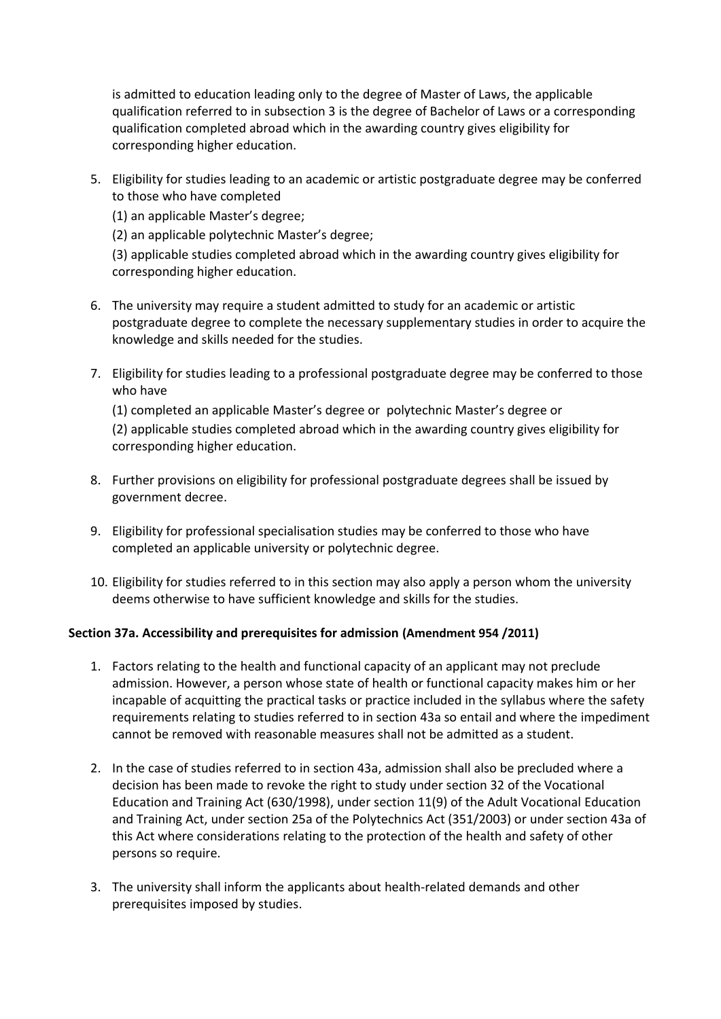is admitted to education leading only to the degree of Master of Laws, the applicable qualification referred to in subsection 3 is the degree of Bachelor of Laws or a corresponding qualification completed abroad which in the awarding country gives eligibility for corresponding higher education.

5. Eligibility for studies leading to an academic or artistic postgraduate degree may be conferred to those who have completed

(1) an applicable Master's degree;

(2) an applicable polytechnic Master's degree;

(3) applicable studies completed abroad which in the awarding country gives eligibility for corresponding higher education.

- 6. The university may require a student admitted to study for an academic or artistic postgraduate degree to complete the necessary supplementary studies in order to acquire the knowledge and skills needed for the studies.
- 7. Eligibility for studies leading to a professional postgraduate degree may be conferred to those who have

(1) completed an applicable Master's degree or polytechnic Master's degree or (2) applicable studies completed abroad which in the awarding country gives eligibility for corresponding higher education.

- 8. Further provisions on eligibility for professional postgraduate degrees shall be issued by government decree.
- 9. Eligibility for professional specialisation studies may be conferred to those who have completed an applicable university or polytechnic degree.
- 10. Eligibility for studies referred to in this section may also apply a person whom the university deems otherwise to have sufficient knowledge and skills for the studies.

# **Section 37a. Accessibility and prerequisites for admission (Amendment 954 /2011)**

- 1. Factors relating to the health and functional capacity of an applicant may not preclude admission. However, a person whose state of health or functional capacity makes him or her incapable of acquitting the practical tasks or practice included in the syllabus where the safety requirements relating to studies referred to in section 43a so entail and where the impediment cannot be removed with reasonable measures shall not be admitted as a student.
- 2. In the case of studies referred to in section 43a, admission shall also be precluded where a decision has been made to revoke the right to study under section 32 of the Vocational Education and Training Act (630/1998), under section 11(9) of the Adult Vocational Education and Training Act, under section 25a of the Polytechnics Act (351/2003) or under section 43a of this Act where considerations relating to the protection of the health and safety of other persons so require.
- 3. The university shall inform the applicants about health-related demands and other prerequisites imposed by studies.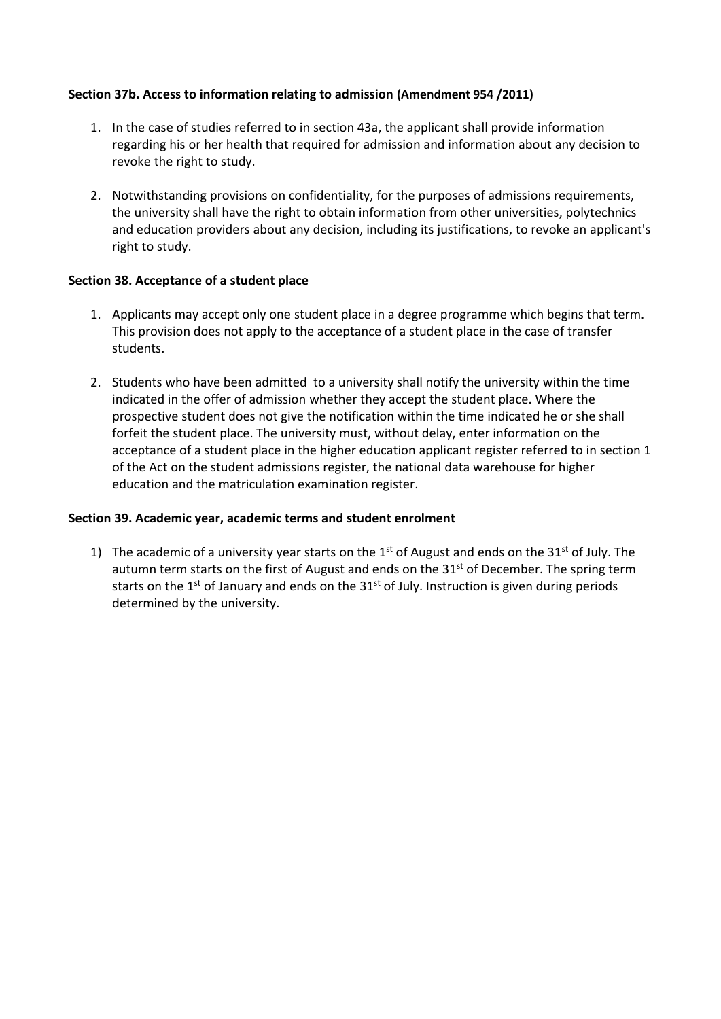#### **Section 37b. Access to information relating to admission (Amendment 954 /2011)**

- 1. In the case of studies referred to in section 43a, the applicant shall provide information regarding his or her health that required for admission and information about any decision to revoke the right to study.
- 2. Notwithstanding provisions on confidentiality, for the purposes of admissions requirements, the university shall have the right to obtain information from other universities, polytechnics and education providers about any decision, including its justifications, to revoke an applicant's right to study.

#### **Section 38. Acceptance of a student place**

- 1. Applicants may accept only one student place in a degree programme which begins that term. This provision does not apply to the acceptance of a student place in the case of transfer students.
- 2. Students who have been admitted to a university shall notify the university within the time indicated in the offer of admission whether they accept the student place. Where the prospective student does not give the notification within the time indicated he or she shall forfeit the student place. The university must, without delay, enter information on the acceptance of a student place in the higher education applicant register referred to in section 1 of the Act on the student admissions register, the national data warehouse for higher education and the matriculation examination register.

#### **Section 39. Academic year, academic terms and student enrolment**

1) The academic of a university year starts on the  $1<sup>st</sup>$  of August and ends on the 31<sup>st</sup> of July. The autumn term starts on the first of August and ends on the  $31<sup>st</sup>$  of December. The spring term starts on the  $1<sup>st</sup>$  of January and ends on the  $31<sup>st</sup>$  of July. Instruction is given during periods determined by the university.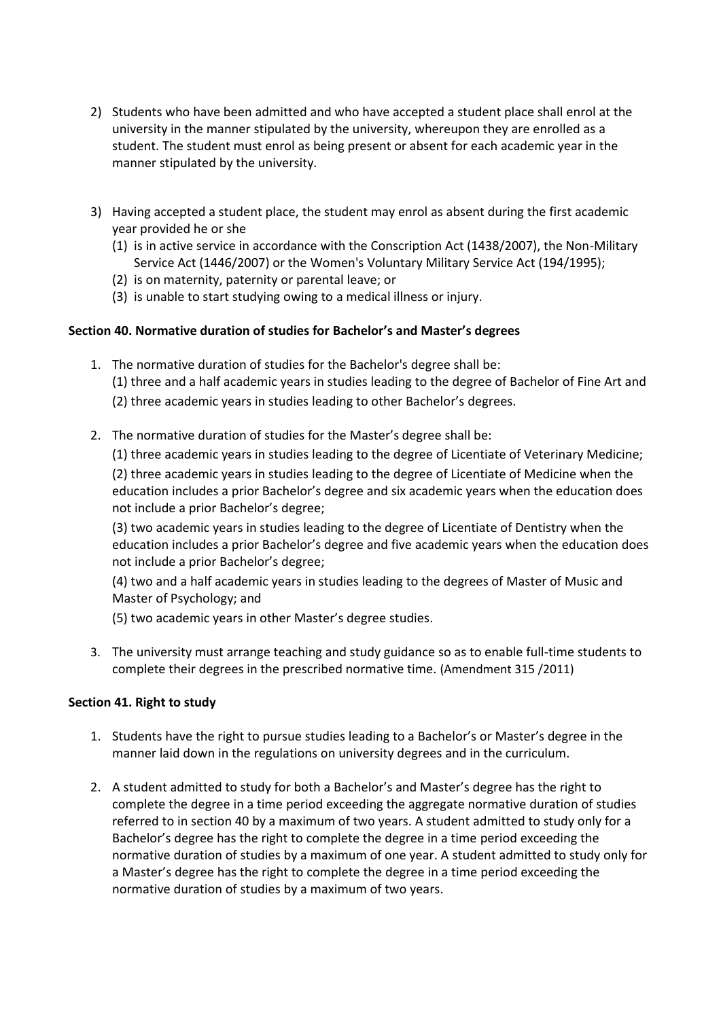- 2) Students who have been admitted and who have accepted a student place shall enrol at the university in the manner stipulated by the university, whereupon they are enrolled as a student. The student must enrol as being present or absent for each academic year in the manner stipulated by the university.
- 3) Having accepted a student place, the student may enrol as absent during the first academic year provided he or she
	- (1) is in active service in accordance with the Conscription Act (1438/2007), the Non-Military Service Act (1446/2007) or the Women's Voluntary Military Service Act (194/1995);
	- (2) is on maternity, paternity or parental leave; or
	- (3) is unable to start studying owing to a medical illness or injury.

### **Section 40. Normative duration of studies for Bachelor's and Master's degrees**

- 1. The normative duration of studies for the Bachelor's degree shall be: (1) three and a half academic years in studies leading to the degree of Bachelor of Fine Art and (2) three academic years in studies leading to other Bachelor's degrees.
- 2. The normative duration of studies for the Master's degree shall be:

(1) three academic years in studies leading to the degree of Licentiate of Veterinary Medicine; (2) three academic years in studies leading to the degree of Licentiate of Medicine when the education includes a prior Bachelor's degree and six academic years when the education does not include a prior Bachelor's degree;

(3) two academic years in studies leading to the degree of Licentiate of Dentistry when the education includes a prior Bachelor's degree and five academic years when the education does not include a prior Bachelor's degree;

(4) two and a half academic years in studies leading to the degrees of Master of Music and Master of Psychology; and

(5) two academic years in other Master's degree studies.

3. The university must arrange teaching and study guidance so as to enable full-time students to complete their degrees in the prescribed normative time. (Amendment 315 /2011)

#### **Section 41. Right to study**

- 1. Students have the right to pursue studies leading to a Bachelor's or Master's degree in the manner laid down in the regulations on university degrees and in the curriculum.
- 2. A student admitted to study for both a Bachelor's and Master's degree has the right to complete the degree in a time period exceeding the aggregate normative duration of studies referred to in section 40 by a maximum of two years. A student admitted to study only for a Bachelor's degree has the right to complete the degree in a time period exceeding the normative duration of studies by a maximum of one year. A student admitted to study only for a Master's degree has the right to complete the degree in a time period exceeding the normative duration of studies by a maximum of two years.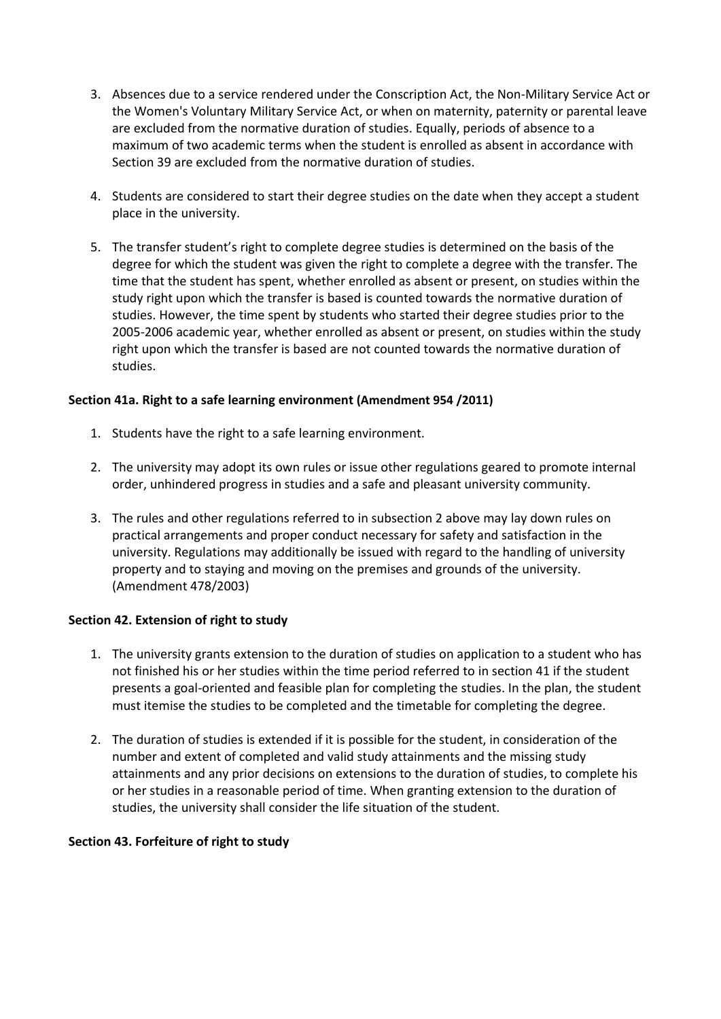- 3. Absences due to a service rendered under the Conscription Act, the Non-Military Service Act or the Women's Voluntary Military Service Act, or when on maternity, paternity or parental leave are excluded from the normative duration of studies. Equally, periods of absence to a maximum of two academic terms when the student is enrolled as absent in accordance with Section 39 are excluded from the normative duration of studies.
- 4. Students are considered to start their degree studies on the date when they accept a student place in the university.
- 5. The transfer student's right to complete degree studies is determined on the basis of the degree for which the student was given the right to complete a degree with the transfer. The time that the student has spent, whether enrolled as absent or present, on studies within the study right upon which the transfer is based is counted towards the normative duration of studies. However, the time spent by students who started their degree studies prior to the 2005-2006 academic year, whether enrolled as absent or present, on studies within the study right upon which the transfer is based are not counted towards the normative duration of studies.

### **Section 41a. Right to a safe learning environment (Amendment 954 /2011)**

- 1. Students have the right to a safe learning environment.
- 2. The university may adopt its own rules or issue other regulations geared to promote internal order, unhindered progress in studies and a safe and pleasant university community.
- 3. The rules and other regulations referred to in subsection 2 above may lay down rules on practical arrangements and proper conduct necessary for safety and satisfaction in the university. Regulations may additionally be issued with regard to the handling of university property and to staying and moving on the premises and grounds of the university. (Amendment 478/2003)

#### **Section 42. Extension of right to study**

- 1. The university grants extension to the duration of studies on application to a student who has not finished his or her studies within the time period referred to in section 41 if the student presents a goal-oriented and feasible plan for completing the studies. In the plan, the student must itemise the studies to be completed and the timetable for completing the degree.
- 2. The duration of studies is extended if it is possible for the student, in consideration of the number and extent of completed and valid study attainments and the missing study attainments and any prior decisions on extensions to the duration of studies, to complete his or her studies in a reasonable period of time. When granting extension to the duration of studies, the university shall consider the life situation of the student.

#### **Section 43. Forfeiture of right to study**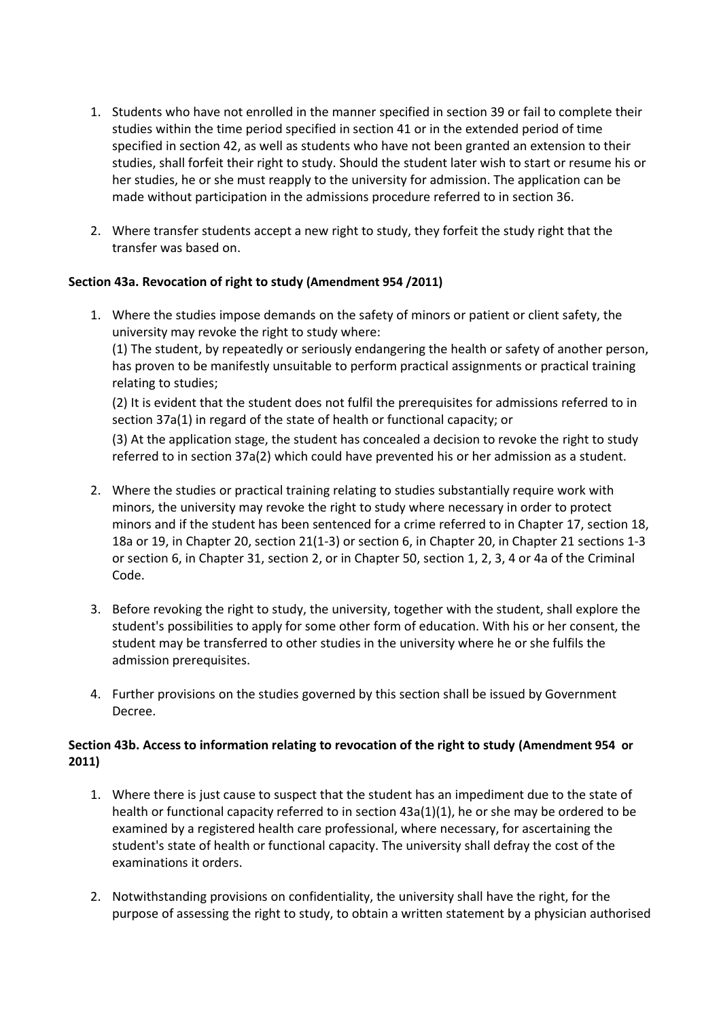- 1. Students who have not enrolled in the manner specified in section 39 or fail to complete their studies within the time period specified in section 41 or in the extended period of time specified in section 42, as well as students who have not been granted an extension to their studies, shall forfeit their right to study. Should the student later wish to start or resume his or her studies, he or she must reapply to the university for admission. The application can be made without participation in the admissions procedure referred to in section 36.
- 2. Where transfer students accept a new right to study, they forfeit the study right that the transfer was based on.

### **Section 43a. Revocation of right to study (Amendment 954 /2011)**

1. Where the studies impose demands on the safety of minors or patient or client safety, the university may revoke the right to study where:

(1) The student, by repeatedly or seriously endangering the health or safety of another person, has proven to be manifestly unsuitable to perform practical assignments or practical training relating to studies;

(2) It is evident that the student does not fulfil the prerequisites for admissions referred to in section 37a(1) in regard of the state of health or functional capacity; or

(3) At the application stage, the student has concealed a decision to revoke the right to study referred to in section 37a(2) which could have prevented his or her admission as a student.

- 2. Where the studies or practical training relating to studies substantially require work with minors, the university may revoke the right to study where necessary in order to protect minors and if the student has been sentenced for a crime referred to in Chapter 17, section 18, 18a or 19, in Chapter 20, section 21(1-3) or section 6, in Chapter 20, in Chapter 21 sections 1-3 or section 6, in Chapter 31, section 2, or in Chapter 50, section 1, 2, 3, 4 or 4a of the Criminal Code.
- 3. Before revoking the right to study, the university, together with the student, shall explore the student's possibilities to apply for some other form of education. With his or her consent, the student may be transferred to other studies in the university where he or she fulfils the admission prerequisites.
- 4. Further provisions on the studies governed by this section shall be issued by Government Decree.

### **Section 43b. Access to information relating to revocation of the right to study (Amendment 954 or 2011)**

- 1. Where there is just cause to suspect that the student has an impediment due to the state of health or functional capacity referred to in section 43a(1)(1), he or she may be ordered to be examined by a registered health care professional, where necessary, for ascertaining the student's state of health or functional capacity. The university shall defray the cost of the examinations it orders.
- 2. Notwithstanding provisions on confidentiality, the university shall have the right, for the purpose of assessing the right to study, to obtain a written statement by a physician authorised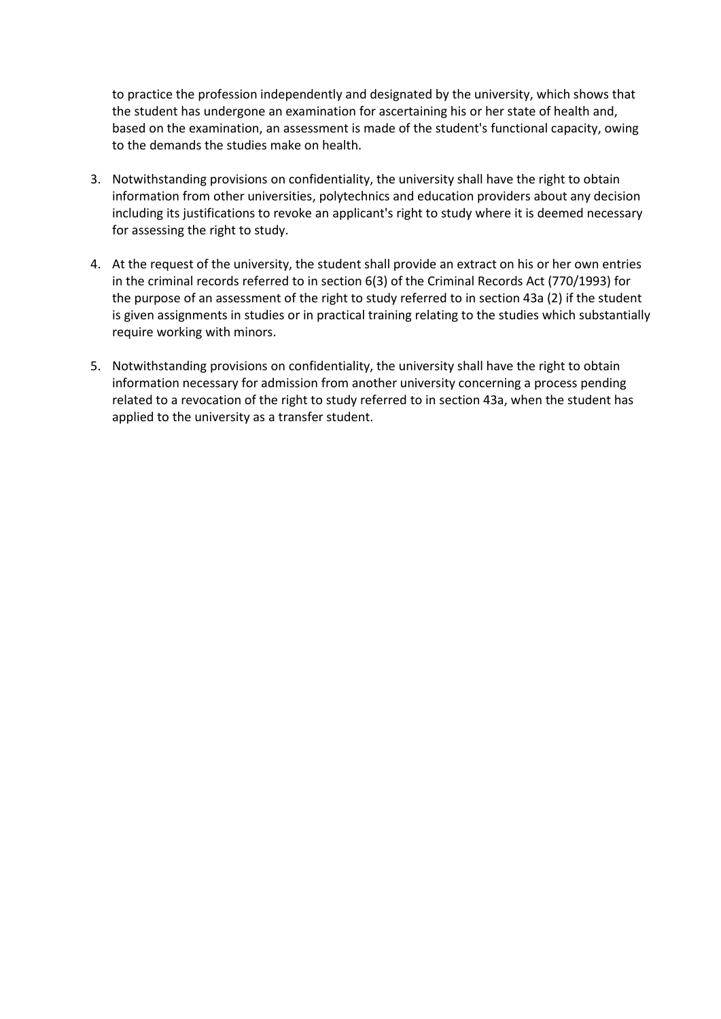to practice the profession independently and designated by the university, which shows that the student has undergone an examination for ascertaining his or her state of health and, based on the examination, an assessment is made of the student's functional capacity, owing to the demands the studies make on health.

- 3. Notwithstanding provisions on confidentiality, the university shall have the right to obtain information from other universities, polytechnics and education providers about any decision including its justifications to revoke an applicant's right to study where it is deemed necessary for assessing the right to study.
- 4. At the request of the university, the student shall provide an extract on his or her own entries in the criminal records referred to in section 6(3) of the Criminal Records Act (770/1993) for the purpose of an assessment of the right to study referred to in section 43a (2) if the student is given assignments in studies or in practical training relating to the studies which substantially require working with minors.
- 5. Notwithstanding provisions on confidentiality, the university shall have the right to obtain information necessary for admission from another university concerning a process pending related to a revocation of the right to study referred to in section 43a, when the student has applied to the university as a transfer student.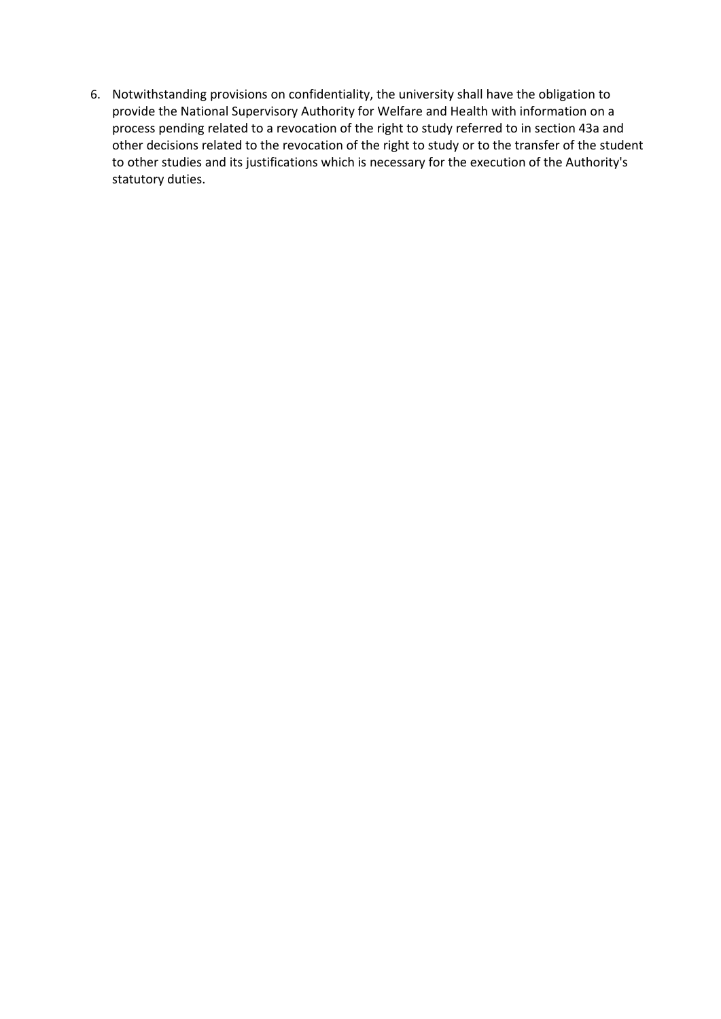6. Notwithstanding provisions on confidentiality, the university shall have the obligation to provide the National Supervisory Authority for Welfare and Health with information on a process pending related to a revocation of the right to study referred to in section 43a and other decisions related to the revocation of the right to study or to the transfer of the student to other studies and its justifications which is necessary for the execution of the Authority's statutory duties.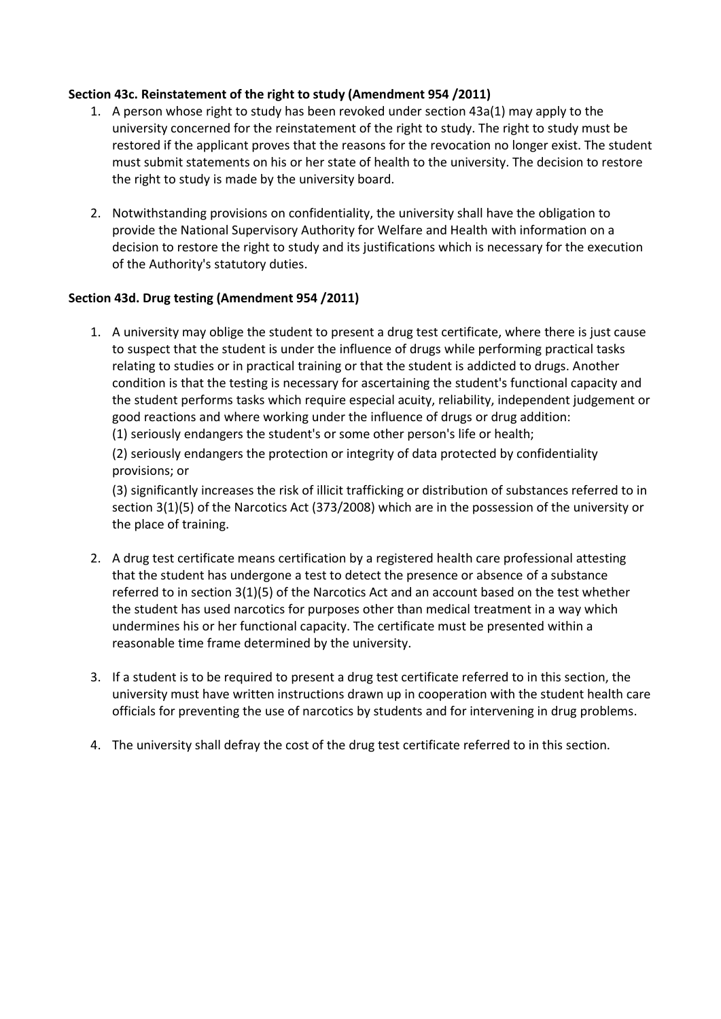### **Section 43c. Reinstatement of the right to study (Amendment 954 /2011)**

- 1. A person whose right to study has been revoked under section 43a(1) may apply to the university concerned for the reinstatement of the right to study. The right to study must be restored if the applicant proves that the reasons for the revocation no longer exist. The student must submit statements on his or her state of health to the university. The decision to restore the right to study is made by the university board.
- 2. Notwithstanding provisions on confidentiality, the university shall have the obligation to provide the National Supervisory Authority for Welfare and Health with information on a decision to restore the right to study and its justifications which is necessary for the execution of the Authority's statutory duties.

#### **Section 43d. Drug testing (Amendment 954 /2011)**

1. A university may oblige the student to present a drug test certificate, where there is just cause to suspect that the student is under the influence of drugs while performing practical tasks relating to studies or in practical training or that the student is addicted to drugs. Another condition is that the testing is necessary for ascertaining the student's functional capacity and the student performs tasks which require especial acuity, reliability, independent judgement or good reactions and where working under the influence of drugs or drug addition:

(1) seriously endangers the student's or some other person's life or health;

(2) seriously endangers the protection or integrity of data protected by confidentiality provisions; or

(3) significantly increases the risk of illicit trafficking or distribution of substances referred to in section 3(1)(5) of the Narcotics Act (373/2008) which are in the possession of the university or the place of training.

- 2. A drug test certificate means certification by a registered health care professional attesting that the student has undergone a test to detect the presence or absence of a substance referred to in section 3(1)(5) of the Narcotics Act and an account based on the test whether the student has used narcotics for purposes other than medical treatment in a way which undermines his or her functional capacity. The certificate must be presented within a reasonable time frame determined by the university.
- 3. If a student is to be required to present a drug test certificate referred to in this section, the university must have written instructions drawn up in cooperation with the student health care officials for preventing the use of narcotics by students and for intervening in drug problems.
- 4. The university shall defray the cost of the drug test certificate referred to in this section.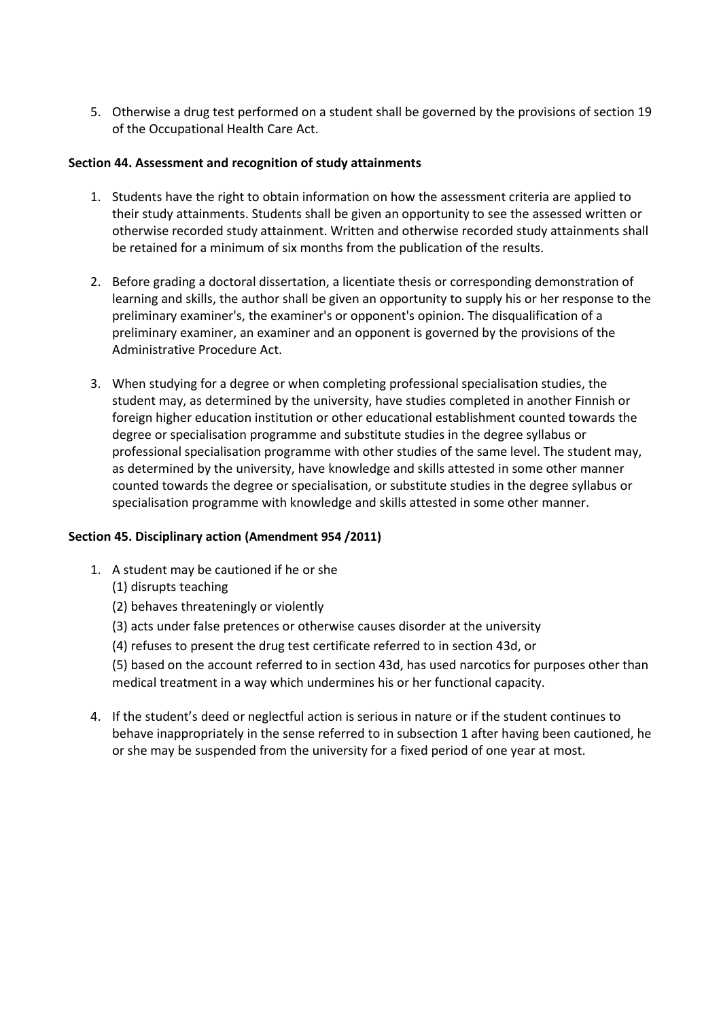5. Otherwise a drug test performed on a student shall be governed by the provisions of section 19 of the Occupational Health Care Act.

#### **Section 44. Assessment and recognition of study attainments**

- 1. Students have the right to obtain information on how the assessment criteria are applied to their study attainments. Students shall be given an opportunity to see the assessed written or otherwise recorded study attainment. Written and otherwise recorded study attainments shall be retained for a minimum of six months from the publication of the results.
- 2. Before grading a doctoral dissertation, a licentiate thesis or corresponding demonstration of learning and skills, the author shall be given an opportunity to supply his or her response to the preliminary examiner's, the examiner's or opponent's opinion. The disqualification of a preliminary examiner, an examiner and an opponent is governed by the provisions of the Administrative Procedure Act.
- 3. When studying for a degree or when completing professional specialisation studies, the student may, as determined by the university, have studies completed in another Finnish or foreign higher education institution or other educational establishment counted towards the degree or specialisation programme and substitute studies in the degree syllabus or professional specialisation programme with other studies of the same level. The student may, as determined by the university, have knowledge and skills attested in some other manner counted towards the degree or specialisation, or substitute studies in the degree syllabus or specialisation programme with knowledge and skills attested in some other manner.

#### **Section 45. Disciplinary action (Amendment 954 /2011)**

- 1. A student may be cautioned if he or she
	- (1) disrupts teaching
	- (2) behaves threateningly or violently
	- (3) acts under false pretences or otherwise causes disorder at the university
	- (4) refuses to present the drug test certificate referred to in section 43d, or

(5) based on the account referred to in section 43d, has used narcotics for purposes other than medical treatment in a way which undermines his or her functional capacity.

4. If the student's deed or neglectful action is serious in nature or if the student continues to behave inappropriately in the sense referred to in subsection 1 after having been cautioned, he or she may be suspended from the university for a fixed period of one year at most.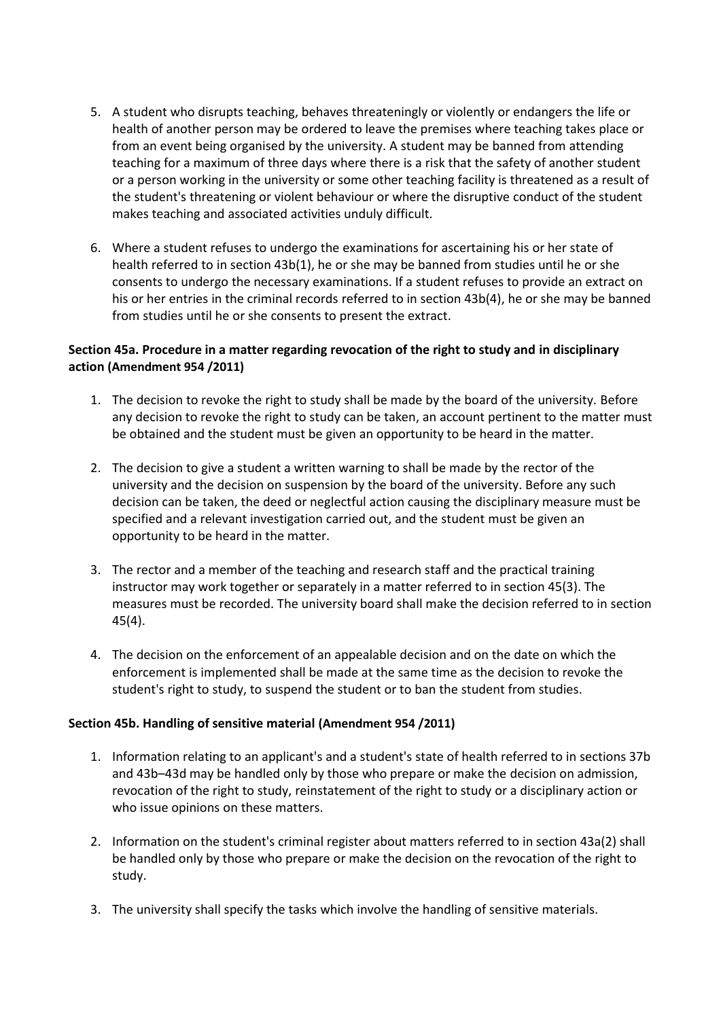- 5. A student who disrupts teaching, behaves threateningly or violently or endangers the life or health of another person may be ordered to leave the premises where teaching takes place or from an event being organised by the university. A student may be banned from attending teaching for a maximum of three days where there is a risk that the safety of another student or a person working in the university or some other teaching facility is threatened as a result of the student's threatening or violent behaviour or where the disruptive conduct of the student makes teaching and associated activities unduly difficult.
- 6. Where a student refuses to undergo the examinations for ascertaining his or her state of health referred to in section 43b(1), he or she may be banned from studies until he or she consents to undergo the necessary examinations. If a student refuses to provide an extract on his or her entries in the criminal records referred to in section 43b(4), he or she may be banned from studies until he or she consents to present the extract.

### **Section 45a. Procedure in a matter regarding revocation of the right to study and in disciplinary action (Amendment 954 /2011)**

- 1. The decision to revoke the right to study shall be made by the board of the university. Before any decision to revoke the right to study can be taken, an account pertinent to the matter must be obtained and the student must be given an opportunity to be heard in the matter.
- 2. The decision to give a student a written warning to shall be made by the rector of the university and the decision on suspension by the board of the university. Before any such decision can be taken, the deed or neglectful action causing the disciplinary measure must be specified and a relevant investigation carried out, and the student must be given an opportunity to be heard in the matter.
- 3. The rector and a member of the teaching and research staff and the practical training instructor may work together or separately in a matter referred to in section 45(3). The measures must be recorded. The university board shall make the decision referred to in section 45(4).
- 4. The decision on the enforcement of an appealable decision and on the date on which the enforcement is implemented shall be made at the same time as the decision to revoke the student's right to study, to suspend the student or to ban the student from studies.

#### **Section 45b. Handling of sensitive material (Amendment 954 /2011)**

- 1. Information relating to an applicant's and a student's state of health referred to in sections 37b and 43b–43d may be handled only by those who prepare or make the decision on admission, revocation of the right to study, reinstatement of the right to study or a disciplinary action or who issue opinions on these matters.
- 2. Information on the student's criminal register about matters referred to in section 43a(2) shall be handled only by those who prepare or make the decision on the revocation of the right to study.
- 3. The university shall specify the tasks which involve the handling of sensitive materials.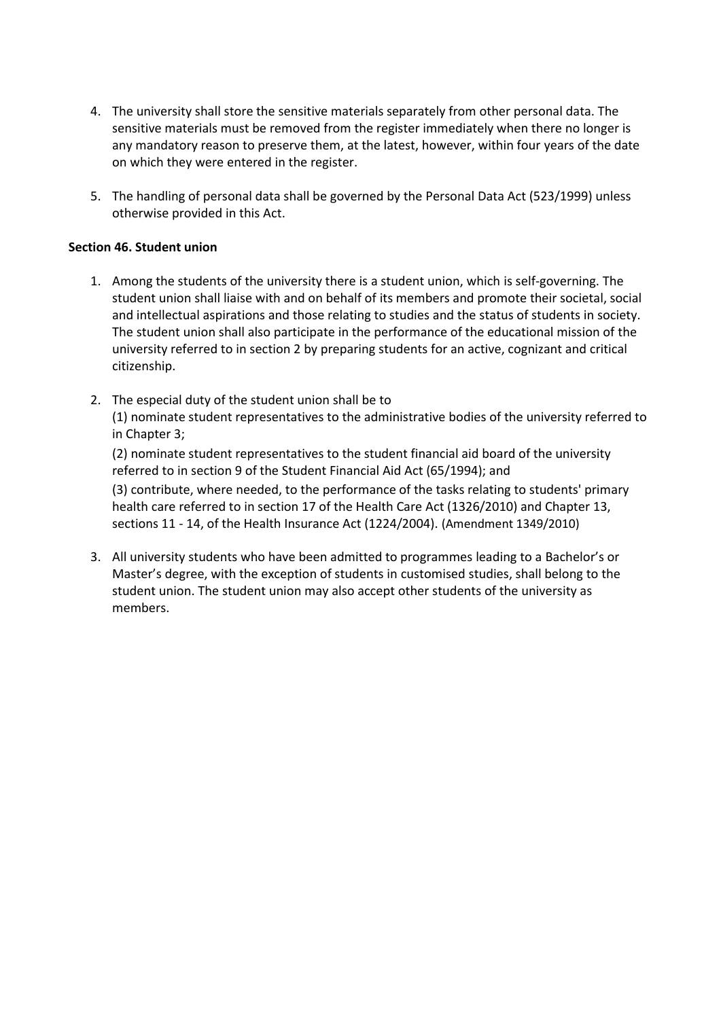- 4. The university shall store the sensitive materials separately from other personal data. The sensitive materials must be removed from the register immediately when there no longer is any mandatory reason to preserve them, at the latest, however, within four years of the date on which they were entered in the register.
- 5. The handling of personal data shall be governed by the Personal Data Act (523/1999) unless otherwise provided in this Act.

#### **Section 46. Student union**

- 1. Among the students of the university there is a student union, which is self-governing. The student union shall liaise with and on behalf of its members and promote their societal, social and intellectual aspirations and those relating to studies and the status of students in society. The student union shall also participate in the performance of the educational mission of the university referred to in section 2 by preparing students for an active, cognizant and critical citizenship.
- 2. The especial duty of the student union shall be to (1) nominate student representatives to the administrative bodies of the university referred to in Chapter 3;

(2) nominate student representatives to the student financial aid board of the university referred to in section 9 of the Student Financial Aid Act (65/1994); and

(3) contribute, where needed, to the performance of the tasks relating to students' primary health care referred to in section 17 of the Health Care Act (1326/2010) and Chapter 13, sections 11 - 14, of the Health Insurance Act (1224/2004). (Amendment 1349/2010)

3. All university students who have been admitted to programmes leading to a Bachelor's or Master's degree, with the exception of students in customised studies, shall belong to the student union. The student union may also accept other students of the university as members.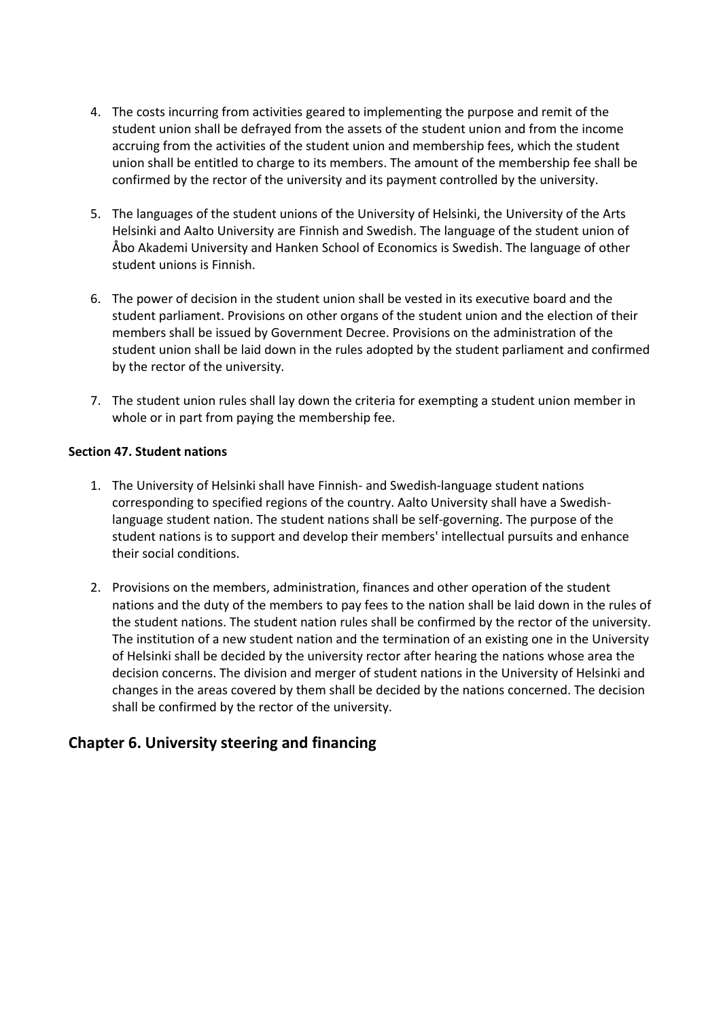- 4. The costs incurring from activities geared to implementing the purpose and remit of the student union shall be defrayed from the assets of the student union and from the income accruing from the activities of the student union and membership fees, which the student union shall be entitled to charge to its members. The amount of the membership fee shall be confirmed by the rector of the university and its payment controlled by the university.
- 5. The languages of the student unions of the University of Helsinki, the University of the Arts Helsinki and Aalto University are Finnish and Swedish. The language of the student union of Åbo Akademi University and Hanken School of Economics is Swedish. The language of other student unions is Finnish.
- 6. The power of decision in the student union shall be vested in its executive board and the student parliament. Provisions on other organs of the student union and the election of their members shall be issued by Government Decree. Provisions on the administration of the student union shall be laid down in the rules adopted by the student parliament and confirmed by the rector of the university.
- 7. The student union rules shall lay down the criteria for exempting a student union member in whole or in part from paying the membership fee.

#### **Section 47. Student nations**

- 1. The University of Helsinki shall have Finnish- and Swedish-language student nations corresponding to specified regions of the country. Aalto University shall have a Swedishlanguage student nation. The student nations shall be self-governing. The purpose of the student nations is to support and develop their members' intellectual pursuits and enhance their social conditions.
- 2. Provisions on the members, administration, finances and other operation of the student nations and the duty of the members to pay fees to the nation shall be laid down in the rules of the student nations. The student nation rules shall be confirmed by the rector of the university. The institution of a new student nation and the termination of an existing one in the University of Helsinki shall be decided by the university rector after hearing the nations whose area the decision concerns. The division and merger of student nations in the University of Helsinki and changes in the areas covered by them shall be decided by the nations concerned. The decision shall be confirmed by the rector of the university.

# **Chapter 6. University steering and financing**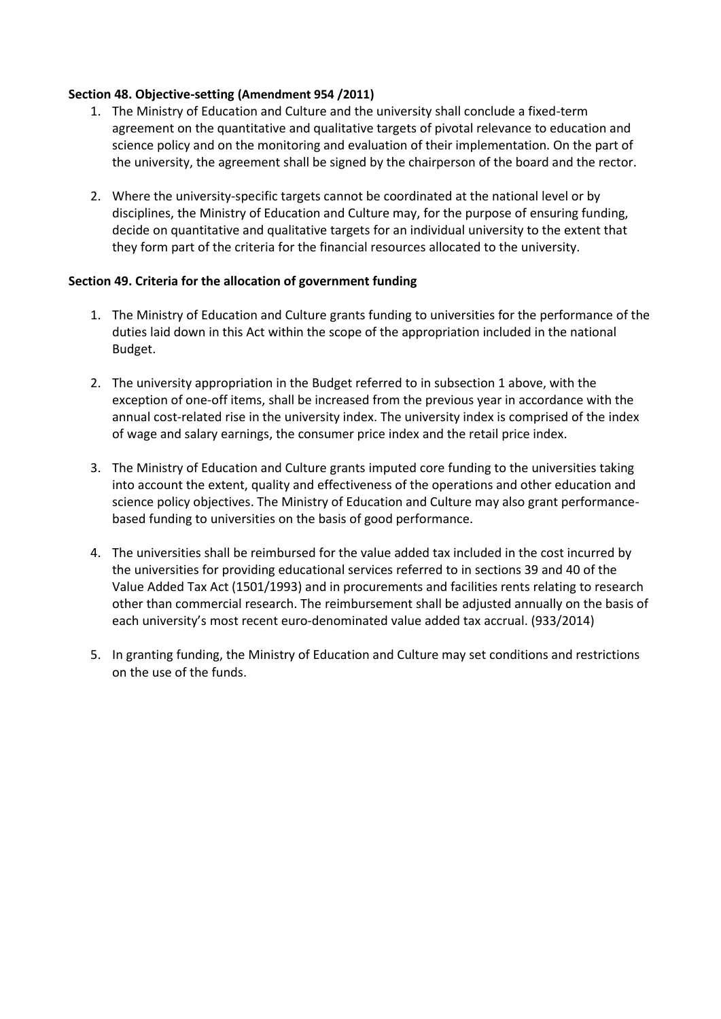#### **Section 48. Objective-setting (Amendment 954 /2011)**

- 1. The Ministry of Education and Culture and the university shall conclude a fixed-term agreement on the quantitative and qualitative targets of pivotal relevance to education and science policy and on the monitoring and evaluation of their implementation. On the part of the university, the agreement shall be signed by the chairperson of the board and the rector.
- 2. Where the university-specific targets cannot be coordinated at the national level or by disciplines, the Ministry of Education and Culture may, for the purpose of ensuring funding, decide on quantitative and qualitative targets for an individual university to the extent that they form part of the criteria for the financial resources allocated to the university.

#### **Section 49. Criteria for the allocation of government funding**

- 1. The Ministry of Education and Culture grants funding to universities for the performance of the duties laid down in this Act within the scope of the appropriation included in the national Budget.
- 2. The university appropriation in the Budget referred to in subsection 1 above, with the exception of one-off items, shall be increased from the previous year in accordance with the annual cost-related rise in the university index. The university index is comprised of the index of wage and salary earnings, the consumer price index and the retail price index.
- 3. The Ministry of Education and Culture grants imputed core funding to the universities taking into account the extent, quality and effectiveness of the operations and other education and science policy objectives. The Ministry of Education and Culture may also grant performancebased funding to universities on the basis of good performance.
- 4. The universities shall be reimbursed for the value added tax included in the cost incurred by the universities for providing educational services referred to in sections 39 and 40 of the Value Added Tax Act (1501/1993) and in procurements and facilities rents relating to research other than commercial research. The reimbursement shall be adjusted annually on the basis of each university's most recent euro-denominated value added tax accrual. (933/2014)
- 5. In granting funding, the Ministry of Education and Culture may set conditions and restrictions on the use of the funds.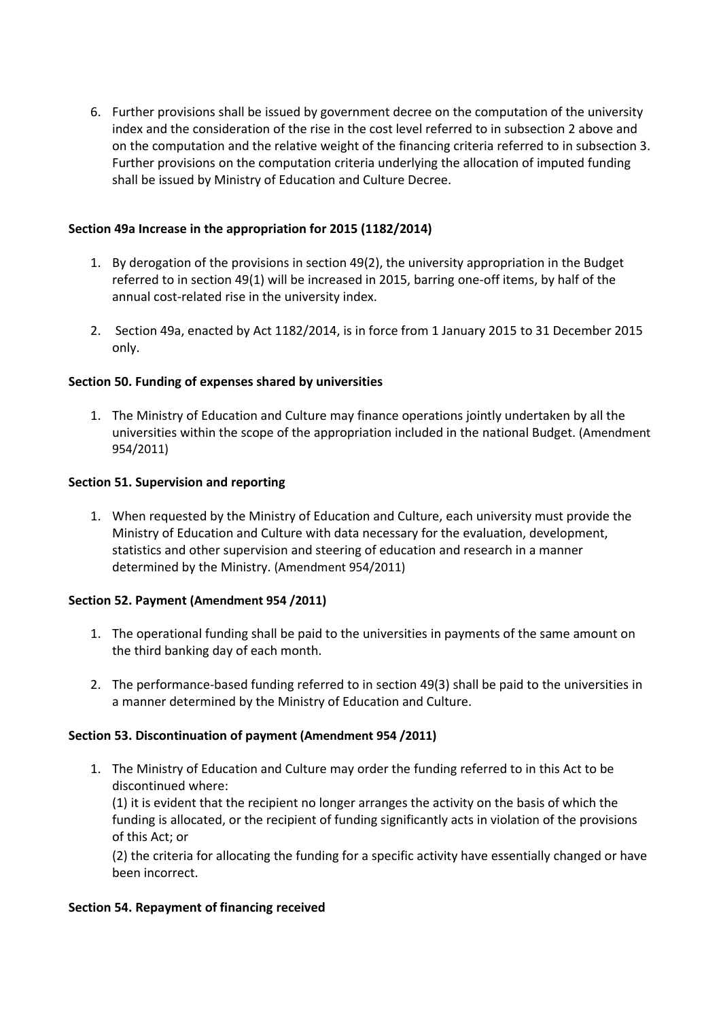6. Further provisions shall be issued by government decree on the computation of the university index and the consideration of the rise in the cost level referred to in subsection 2 above and on the computation and the relative weight of the financing criteria referred to in subsection 3. Further provisions on the computation criteria underlying the allocation of imputed funding shall be issued by Ministry of Education and Culture Decree.

#### **Section 49a Increase in the appropriation for 2015 (1182/2014)**

- 1. By derogation of the provisions in section 49(2), the university appropriation in the Budget referred to in section 49(1) will be increased in 2015, barring one-off items, by half of the annual cost-related rise in the university index.
- 2. Section 49a, enacted by Act 1182/2014, is in force from 1 January 2015 to 31 December 2015 only.

### **Section 50. Funding of expenses shared by universities**

1. The Ministry of Education and Culture may finance operations jointly undertaken by all the universities within the scope of the appropriation included in the national Budget. (Amendment 954/2011)

#### **Section 51. Supervision and reporting**

1. When requested by the Ministry of Education and Culture, each university must provide the Ministry of Education and Culture with data necessary for the evaluation, development, statistics and other supervision and steering of education and research in a manner determined by the Ministry. (Amendment 954/2011)

#### **Section 52. Payment (Amendment 954 /2011)**

- 1. The operational funding shall be paid to the universities in payments of the same amount on the third banking day of each month.
- 2. The performance-based funding referred to in section 49(3) shall be paid to the universities in a manner determined by the Ministry of Education and Culture.

#### **Section 53. Discontinuation of payment (Amendment 954 /2011)**

1. The Ministry of Education and Culture may order the funding referred to in this Act to be discontinued where:

(1) it is evident that the recipient no longer arranges the activity on the basis of which the funding is allocated, or the recipient of funding significantly acts in violation of the provisions of this Act; or

(2) the criteria for allocating the funding for a specific activity have essentially changed or have been incorrect.

#### **Section 54. Repayment of financing received**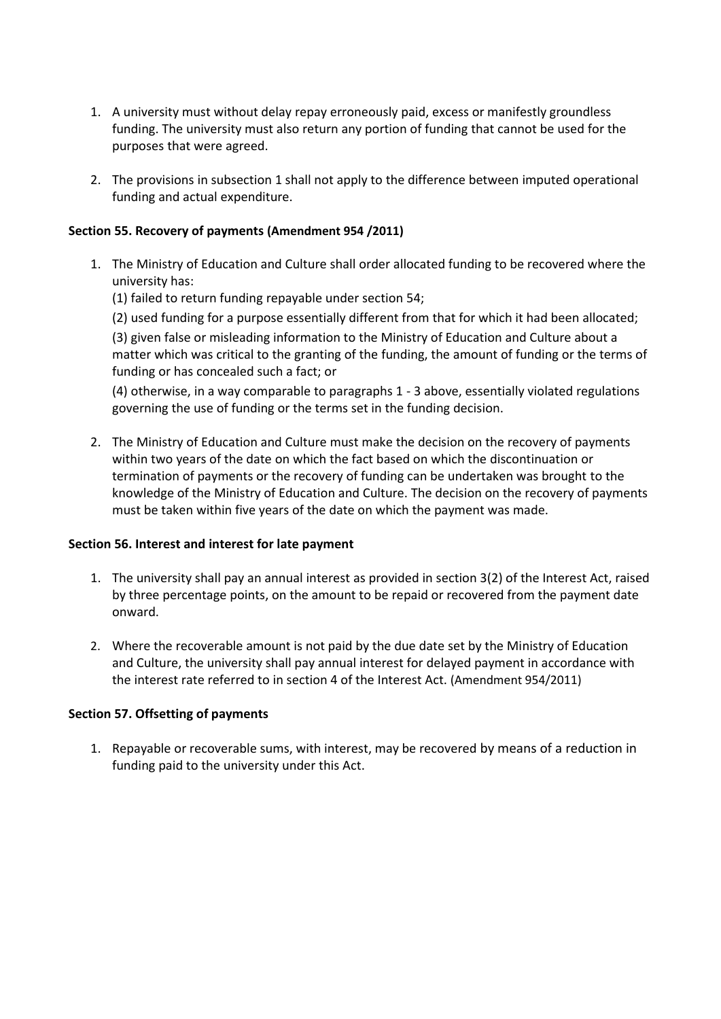- 1. A university must without delay repay erroneously paid, excess or manifestly groundless funding. The university must also return any portion of funding that cannot be used for the purposes that were agreed.
- 2. The provisions in subsection 1 shall not apply to the difference between imputed operational funding and actual expenditure.

#### **Section 55. Recovery of payments (Amendment 954 /2011)**

- 1. The Ministry of Education and Culture shall order allocated funding to be recovered where the university has:
	- (1) failed to return funding repayable under section 54;
	- (2) used funding for a purpose essentially different from that for which it had been allocated;

(3) given false or misleading information to the Ministry of Education and Culture about a matter which was critical to the granting of the funding, the amount of funding or the terms of funding or has concealed such a fact; or

(4) otherwise, in a way comparable to paragraphs 1 - 3 above, essentially violated regulations governing the use of funding or the terms set in the funding decision.

2. The Ministry of Education and Culture must make the decision on the recovery of payments within two years of the date on which the fact based on which the discontinuation or termination of payments or the recovery of funding can be undertaken was brought to the knowledge of the Ministry of Education and Culture. The decision on the recovery of payments must be taken within five years of the date on which the payment was made.

#### **Section 56. Interest and interest for late payment**

- 1. The university shall pay an annual interest as provided in section 3(2) of the Interest Act, raised by three percentage points, on the amount to be repaid or recovered from the payment date onward.
- 2. Where the recoverable amount is not paid by the due date set by the Ministry of Education and Culture, the university shall pay annual interest for delayed payment in accordance with the interest rate referred to in section 4 of the Interest Act. (Amendment 954/2011)

#### **Section 57. Offsetting of payments**

1. Repayable or recoverable sums, with interest, may be recovered by means of a reduction in funding paid to the university under this Act.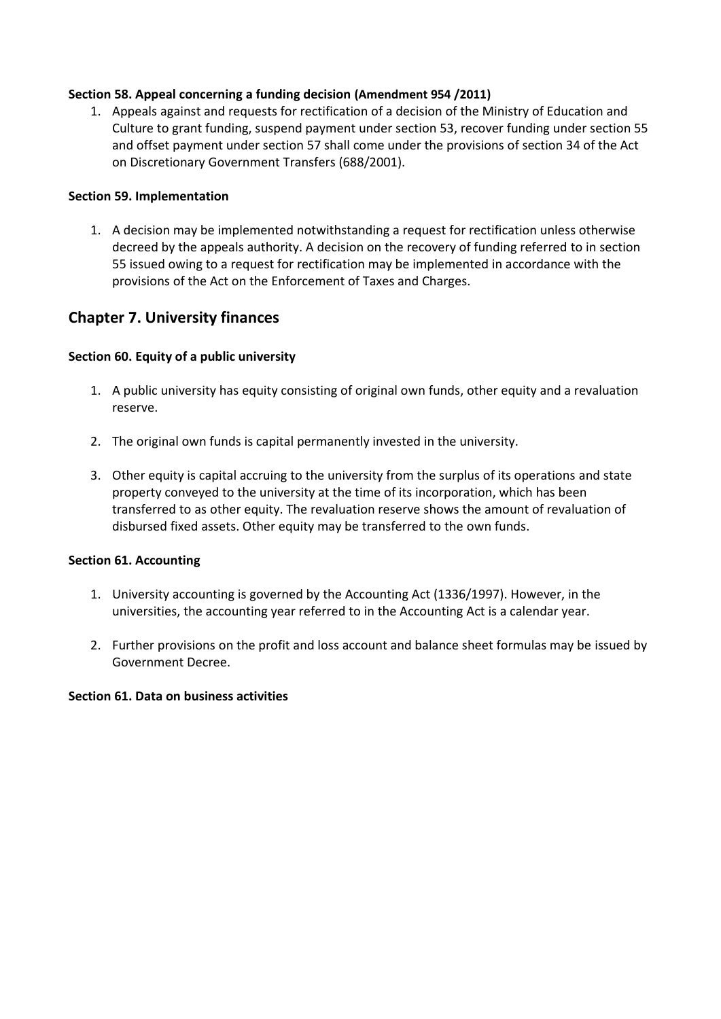### **Section 58. Appeal concerning a funding decision (Amendment 954 /2011)**

1. Appeals against and requests for rectification of a decision of the Ministry of Education and Culture to grant funding, suspend payment under section 53, recover funding under section 55 and offset payment under section 57 shall come under the provisions of section 34 of the Act on Discretionary Government Transfers (688/2001).

#### **Section 59. Implementation**

1. A decision may be implemented notwithstanding a request for rectification unless otherwise decreed by the appeals authority. A decision on the recovery of funding referred to in section 55 issued owing to a request for rectification may be implemented in accordance with the provisions of the Act on the Enforcement of Taxes and Charges.

# **Chapter 7. University finances**

#### **Section 60. Equity of a public university**

- 1. A public university has equity consisting of original own funds, other equity and a revaluation reserve.
- 2. The original own funds is capital permanently invested in the university.
- 3. Other equity is capital accruing to the university from the surplus of its operations and state property conveyed to the university at the time of its incorporation, which has been transferred to as other equity. The revaluation reserve shows the amount of revaluation of disbursed fixed assets. Other equity may be transferred to the own funds.

#### **Section 61. Accounting**

- 1. University accounting is governed by the Accounting Act (1336/1997). However, in the universities, the accounting year referred to in the Accounting Act is a calendar year.
- 2. Further provisions on the profit and loss account and balance sheet formulas may be issued by Government Decree.

#### **Section 61. Data on business activities**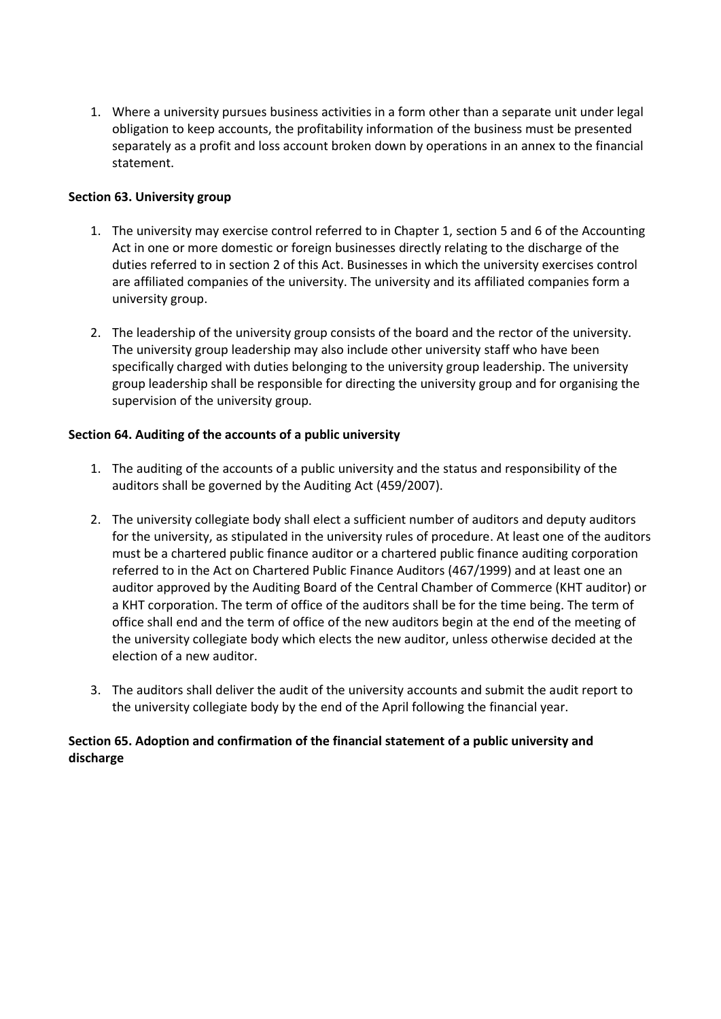1. Where a university pursues business activities in a form other than a separate unit under legal obligation to keep accounts, the profitability information of the business must be presented separately as a profit and loss account broken down by operations in an annex to the financial statement.

#### **Section 63. University group**

- 1. The university may exercise control referred to in Chapter 1, section 5 and 6 of the Accounting Act in one or more domestic or foreign businesses directly relating to the discharge of the duties referred to in section 2 of this Act. Businesses in which the university exercises control are affiliated companies of the university. The university and its affiliated companies form a university group.
- 2. The leadership of the university group consists of the board and the rector of the university. The university group leadership may also include other university staff who have been specifically charged with duties belonging to the university group leadership. The university group leadership shall be responsible for directing the university group and for organising the supervision of the university group.

#### **Section 64. Auditing of the accounts of a public university**

- 1. The auditing of the accounts of a public university and the status and responsibility of the auditors shall be governed by the Auditing Act (459/2007).
- 2. The university collegiate body shall elect a sufficient number of auditors and deputy auditors for the university, as stipulated in the university rules of procedure. At least one of the auditors must be a chartered public finance auditor or a chartered public finance auditing corporation referred to in the Act on Chartered Public Finance Auditors (467/1999) and at least one an auditor approved by the Auditing Board of the Central Chamber of Commerce (KHT auditor) or a KHT corporation. The term of office of the auditors shall be for the time being. The term of office shall end and the term of office of the new auditors begin at the end of the meeting of the university collegiate body which elects the new auditor, unless otherwise decided at the election of a new auditor.
- 3. The auditors shall deliver the audit of the university accounts and submit the audit report to the university collegiate body by the end of the April following the financial year.

### **Section 65. Adoption and confirmation of the financial statement of a public university and discharge**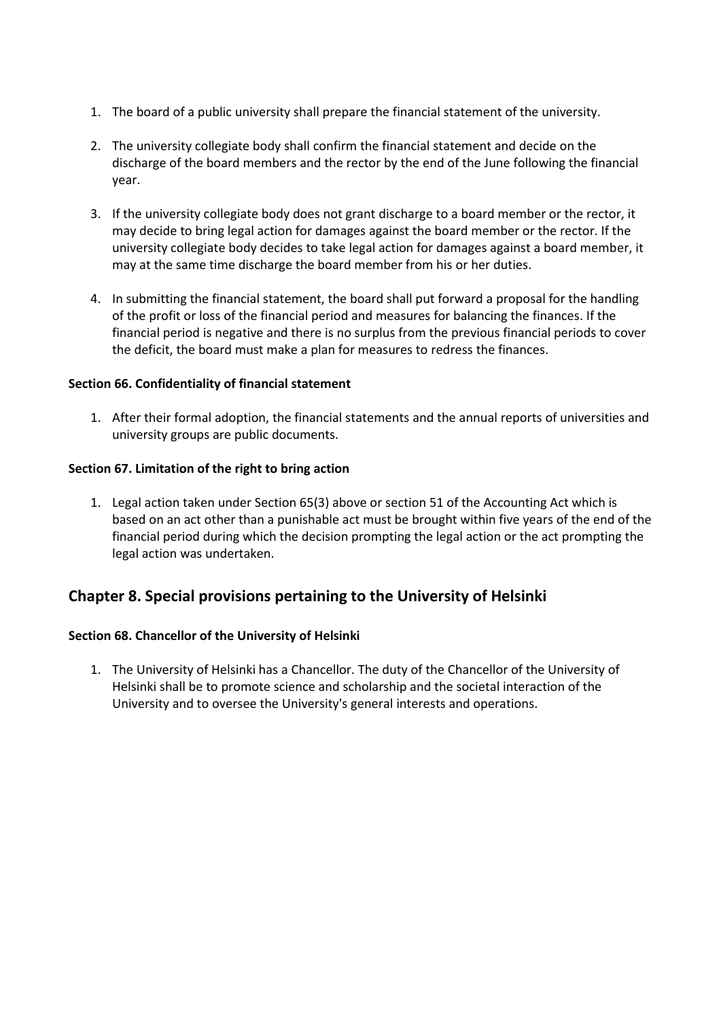- 1. The board of a public university shall prepare the financial statement of the university.
- 2. The university collegiate body shall confirm the financial statement and decide on the discharge of the board members and the rector by the end of the June following the financial year.
- 3. If the university collegiate body does not grant discharge to a board member or the rector, it may decide to bring legal action for damages against the board member or the rector. If the university collegiate body decides to take legal action for damages against a board member, it may at the same time discharge the board member from his or her duties.
- 4. In submitting the financial statement, the board shall put forward a proposal for the handling of the profit or loss of the financial period and measures for balancing the finances. If the financial period is negative and there is no surplus from the previous financial periods to cover the deficit, the board must make a plan for measures to redress the finances.

#### **Section 66. Confidentiality of financial statement**

1. After their formal adoption, the financial statements and the annual reports of universities and university groups are public documents.

#### **Section 67. Limitation of the right to bring action**

1. Legal action taken under Section 65(3) above or section 51 of the Accounting Act which is based on an act other than a punishable act must be brought within five years of the end of the financial period during which the decision prompting the legal action or the act prompting the legal action was undertaken.

# **Chapter 8. Special provisions pertaining to the University of Helsinki**

#### **Section 68. Chancellor of the University of Helsinki**

1. The University of Helsinki has a Chancellor. The duty of the Chancellor of the University of Helsinki shall be to promote science and scholarship and the societal interaction of the University and to oversee the University's general interests and operations.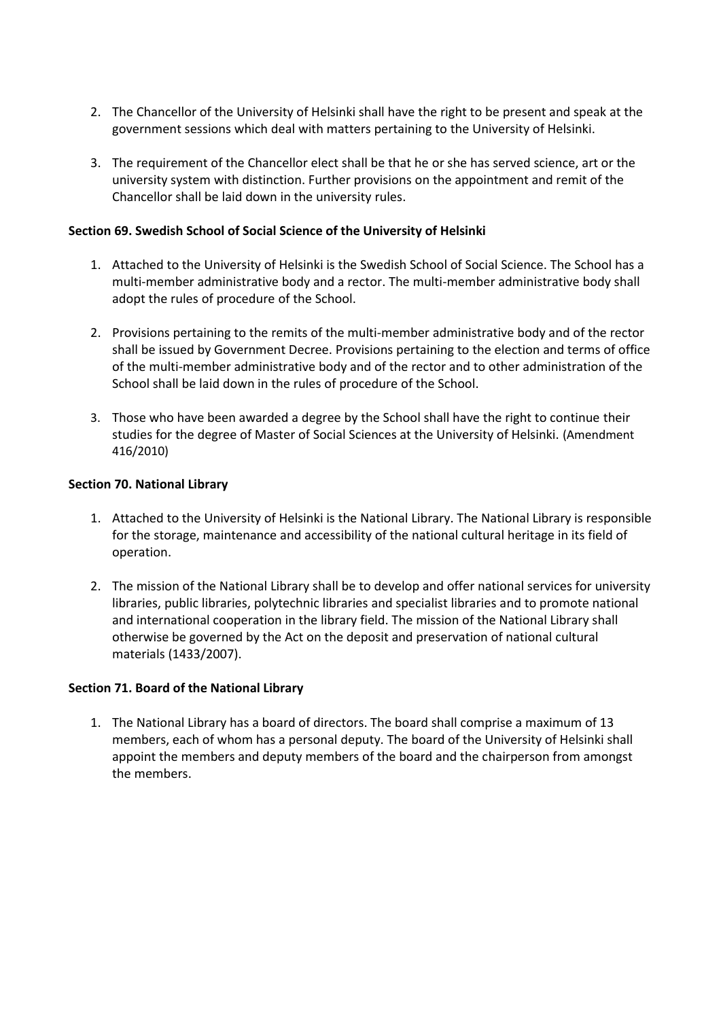- 2. The Chancellor of the University of Helsinki shall have the right to be present and speak at the government sessions which deal with matters pertaining to the University of Helsinki.
- 3. The requirement of the Chancellor elect shall be that he or she has served science, art or the university system with distinction. Further provisions on the appointment and remit of the Chancellor shall be laid down in the university rules.

#### **Section 69. Swedish School of Social Science of the University of Helsinki**

- 1. Attached to the University of Helsinki is the Swedish School of Social Science. The School has a multi-member administrative body and a rector. The multi-member administrative body shall adopt the rules of procedure of the School.
- 2. Provisions pertaining to the remits of the multi-member administrative body and of the rector shall be issued by Government Decree. Provisions pertaining to the election and terms of office of the multi-member administrative body and of the rector and to other administration of the School shall be laid down in the rules of procedure of the School.
- 3. Those who have been awarded a degree by the School shall have the right to continue their studies for the degree of Master of Social Sciences at the University of Helsinki. (Amendment 416/2010)

#### **Section 70. National Library**

- 1. Attached to the University of Helsinki is the National Library. The National Library is responsible for the storage, maintenance and accessibility of the national cultural heritage in its field of operation.
- 2. The mission of the National Library shall be to develop and offer national services for university libraries, public libraries, polytechnic libraries and specialist libraries and to promote national and international cooperation in the library field. The mission of the National Library shall otherwise be governed by the Act on the deposit and preservation of national cultural materials (1433/2007).

#### **Section 71. Board of the National Library**

1. The National Library has a board of directors. The board shall comprise a maximum of 13 members, each of whom has a personal deputy. The board of the University of Helsinki shall appoint the members and deputy members of the board and the chairperson from amongst the members.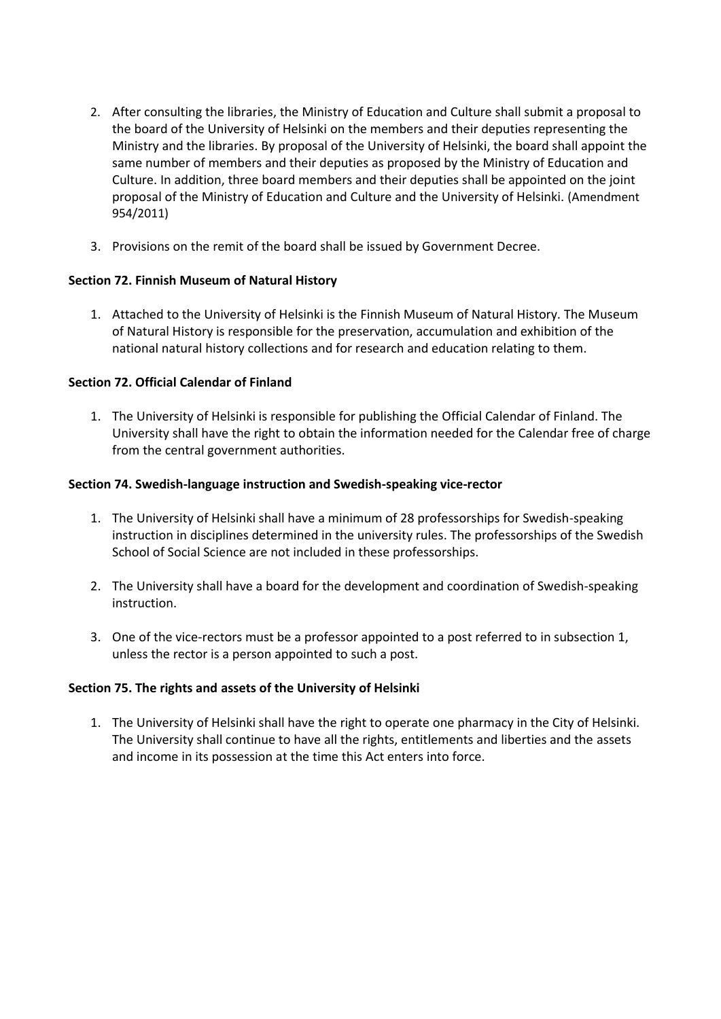- 2. After consulting the libraries, the Ministry of Education and Culture shall submit a proposal to the board of the University of Helsinki on the members and their deputies representing the Ministry and the libraries. By proposal of the University of Helsinki, the board shall appoint the same number of members and their deputies as proposed by the Ministry of Education and Culture. In addition, three board members and their deputies shall be appointed on the joint proposal of the Ministry of Education and Culture and the University of Helsinki. (Amendment 954/2011)
- 3. Provisions on the remit of the board shall be issued by Government Decree.

### **Section 72. Finnish Museum of Natural History**

1. Attached to the University of Helsinki is the Finnish Museum of Natural History. The Museum of Natural History is responsible for the preservation, accumulation and exhibition of the national natural history collections and for research and education relating to them.

### **Section 72. Official Calendar of Finland**

1. The University of Helsinki is responsible for publishing the Official Calendar of Finland. The University shall have the right to obtain the information needed for the Calendar free of charge from the central government authorities.

#### **Section 74. Swedish-language instruction and Swedish-speaking vice-rector**

- 1. The University of Helsinki shall have a minimum of 28 professorships for Swedish-speaking instruction in disciplines determined in the university rules. The professorships of the Swedish School of Social Science are not included in these professorships.
- 2. The University shall have a board for the development and coordination of Swedish-speaking instruction.
- 3. One of the vice-rectors must be a professor appointed to a post referred to in subsection 1, unless the rector is a person appointed to such a post.

#### **Section 75. The rights and assets of the University of Helsinki**

1. The University of Helsinki shall have the right to operate one pharmacy in the City of Helsinki. The University shall continue to have all the rights, entitlements and liberties and the assets and income in its possession at the time this Act enters into force.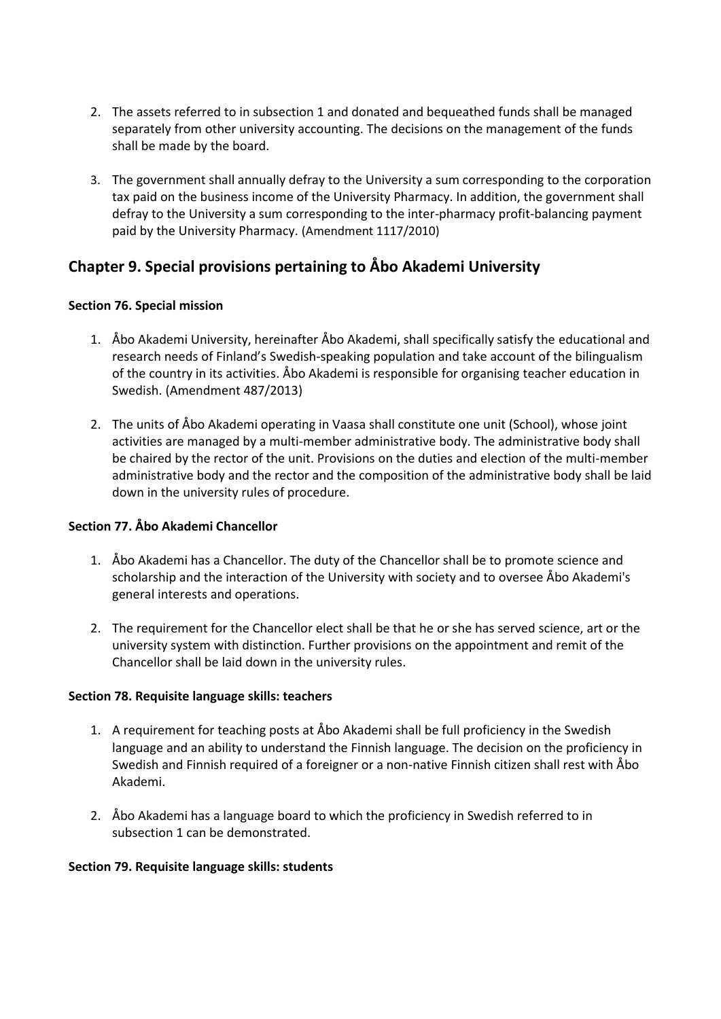- 2. The assets referred to in subsection 1 and donated and bequeathed funds shall be managed separately from other university accounting. The decisions on the management of the funds shall be made by the board.
- 3. The government shall annually defray to the University a sum corresponding to the corporation tax paid on the business income of the University Pharmacy. In addition, the government shall defray to the University a sum corresponding to the inter-pharmacy profit-balancing payment paid by the University Pharmacy. (Amendment 1117/2010)

# **Chapter 9. Special provisions pertaining to Åbo Akademi University**

#### **Section 76. Special mission**

- 1. Åbo Akademi University, hereinafter Åbo Akademi, shall specifically satisfy the educational and research needs of Finland's Swedish-speaking population and take account of the bilingualism of the country in its activities. Åbo Akademi is responsible for organising teacher education in Swedish. (Amendment 487/2013)
- 2. The units of Åbo Akademi operating in Vaasa shall constitute one unit (School), whose joint activities are managed by a multi-member administrative body. The administrative body shall be chaired by the rector of the unit. Provisions on the duties and election of the multi-member administrative body and the rector and the composition of the administrative body shall be laid down in the university rules of procedure.

# **Section 77. Åbo Akademi Chancellor**

- 1. Åbo Akademi has a Chancellor. The duty of the Chancellor shall be to promote science and scholarship and the interaction of the University with society and to oversee Åbo Akademi's general interests and operations.
- 2. The requirement for the Chancellor elect shall be that he or she has served science, art or the university system with distinction. Further provisions on the appointment and remit of the Chancellor shall be laid down in the university rules.

#### **Section 78. Requisite language skills: teachers**

- 1. A requirement for teaching posts at Åbo Akademi shall be full proficiency in the Swedish language and an ability to understand the Finnish language. The decision on the proficiency in Swedish and Finnish required of a foreigner or a non-native Finnish citizen shall rest with Åbo Akademi.
- 2. Åbo Akademi has a language board to which the proficiency in Swedish referred to in subsection 1 can be demonstrated.

#### **Section 79. Requisite language skills: students**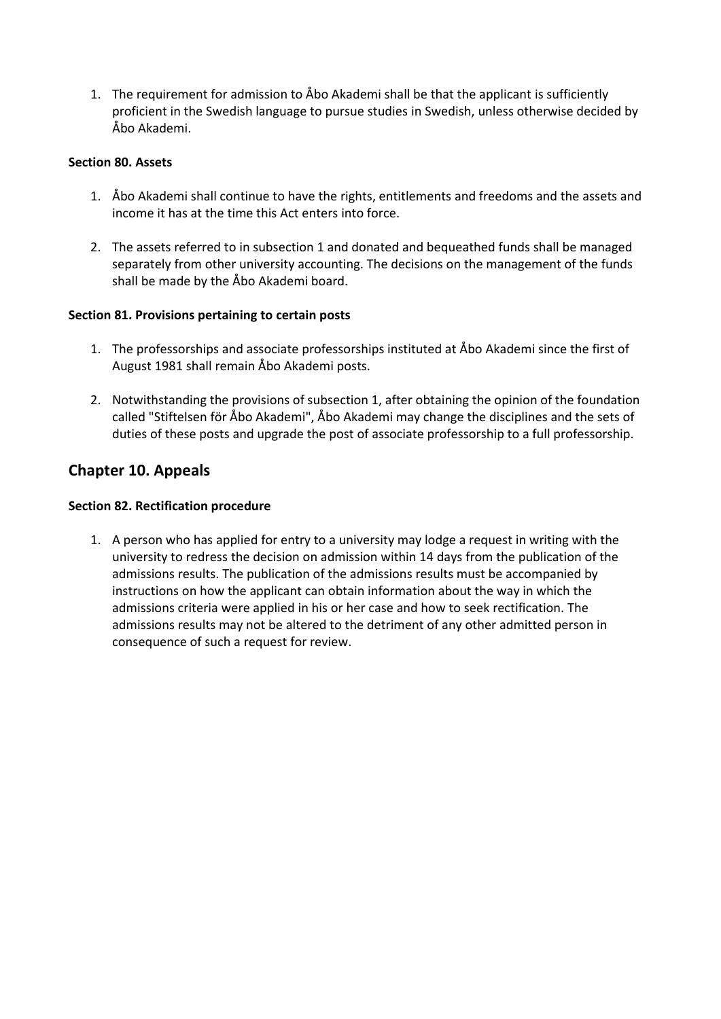1. The requirement for admission to Åbo Akademi shall be that the applicant is sufficiently proficient in the Swedish language to pursue studies in Swedish, unless otherwise decided by Åbo Akademi.

#### **Section 80. Assets**

- 1. Åbo Akademi shall continue to have the rights, entitlements and freedoms and the assets and income it has at the time this Act enters into force.
- 2. The assets referred to in subsection 1 and donated and bequeathed funds shall be managed separately from other university accounting. The decisions on the management of the funds shall be made by the Åbo Akademi board.

### **Section 81. Provisions pertaining to certain posts**

- 1. The professorships and associate professorships instituted at Åbo Akademi since the first of August 1981 shall remain Åbo Akademi posts.
- 2. Notwithstanding the provisions of subsection 1, after obtaining the opinion of the foundation called "Stiftelsen för Åbo Akademi", Åbo Akademi may change the disciplines and the sets of duties of these posts and upgrade the post of associate professorship to a full professorship.

# **Chapter 10. Appeals**

### **Section 82. Rectification procedure**

1. A person who has applied for entry to a university may lodge a request in writing with the university to redress the decision on admission within 14 days from the publication of the admissions results. The publication of the admissions results must be accompanied by instructions on how the applicant can obtain information about the way in which the admissions criteria were applied in his or her case and how to seek rectification. The admissions results may not be altered to the detriment of any other admitted person in consequence of such a request for review.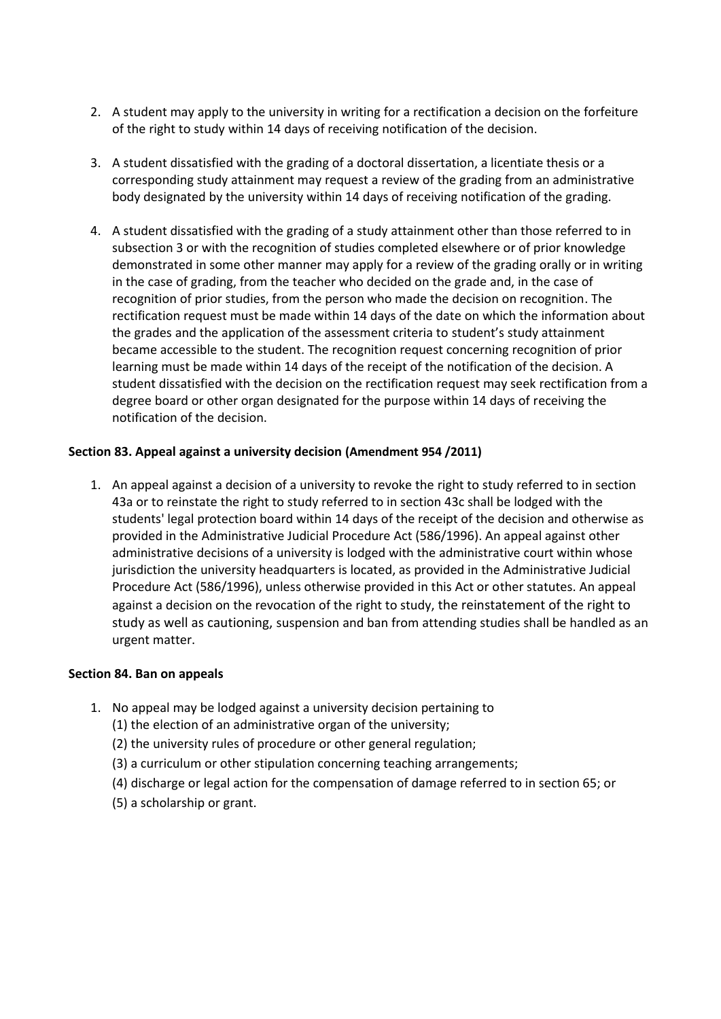- 2. A student may apply to the university in writing for a rectification a decision on the forfeiture of the right to study within 14 days of receiving notification of the decision.
- 3. A student dissatisfied with the grading of a doctoral dissertation, a licentiate thesis or a corresponding study attainment may request a review of the grading from an administrative body designated by the university within 14 days of receiving notification of the grading.
- 4. A student dissatisfied with the grading of a study attainment other than those referred to in subsection 3 or with the recognition of studies completed elsewhere or of prior knowledge demonstrated in some other manner may apply for a review of the grading orally or in writing in the case of grading, from the teacher who decided on the grade and, in the case of recognition of prior studies, from the person who made the decision on recognition. The rectification request must be made within 14 days of the date on which the information about the grades and the application of the assessment criteria to student's study attainment became accessible to the student. The recognition request concerning recognition of prior learning must be made within 14 days of the receipt of the notification of the decision. A student dissatisfied with the decision on the rectification request may seek rectification from a degree board or other organ designated for the purpose within 14 days of receiving the notification of the decision.

#### **Section 83. Appeal against a university decision (Amendment 954 /2011)**

1. An appeal against a decision of a university to revoke the right to study referred to in section 43a or to reinstate the right to study referred to in section 43c shall be lodged with the students' legal protection board within 14 days of the receipt of the decision and otherwise as provided in the Administrative Judicial Procedure Act (586/1996). An appeal against other administrative decisions of a university is lodged with the administrative court within whose jurisdiction the university headquarters is located, as provided in the Administrative Judicial Procedure Act (586/1996), unless otherwise provided in this Act or other statutes. An appeal against a decision on the revocation of the right to study, the reinstatement of the right to study as well as cautioning, suspension and ban from attending studies shall be handled as an urgent matter.

#### **Section 84. Ban on appeals**

- 1. No appeal may be lodged against a university decision pertaining to
	- (1) the election of an administrative organ of the university;
	- (2) the university rules of procedure or other general regulation;
	- (3) a curriculum or other stipulation concerning teaching arrangements;
	- (4) discharge or legal action for the compensation of damage referred to in section 65; or
	- (5) a scholarship or grant.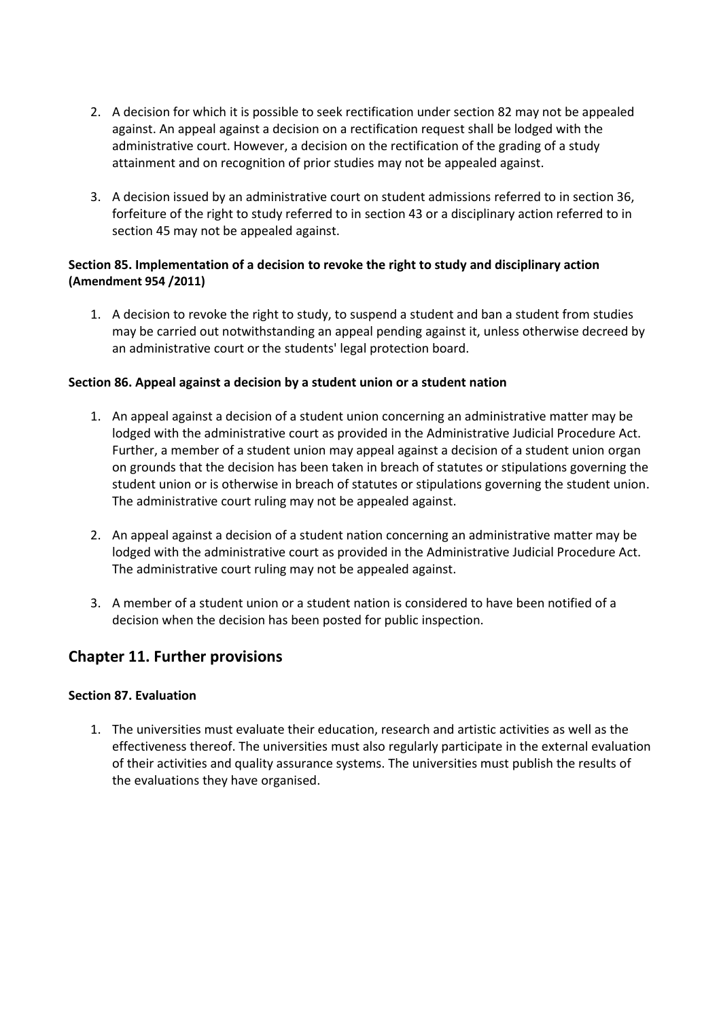- 2. A decision for which it is possible to seek rectification under section 82 may not be appealed against. An appeal against a decision on a rectification request shall be lodged with the administrative court. However, a decision on the rectification of the grading of a study attainment and on recognition of prior studies may not be appealed against.
- 3. A decision issued by an administrative court on student admissions referred to in section 36, forfeiture of the right to study referred to in section 43 or a disciplinary action referred to in section 45 may not be appealed against.

### **Section 85. Implementation of a decision to revoke the right to study and disciplinary action (Amendment 954 /2011)**

1. A decision to revoke the right to study, to suspend a student and ban a student from studies may be carried out notwithstanding an appeal pending against it, unless otherwise decreed by an administrative court or the students' legal protection board.

### **Section 86. Appeal against a decision by a student union or a student nation**

- 1. An appeal against a decision of a student union concerning an administrative matter may be lodged with the administrative court as provided in the Administrative Judicial Procedure Act. Further, a member of a student union may appeal against a decision of a student union organ on grounds that the decision has been taken in breach of statutes or stipulations governing the student union or is otherwise in breach of statutes or stipulations governing the student union. The administrative court ruling may not be appealed against.
- 2. An appeal against a decision of a student nation concerning an administrative matter may be lodged with the administrative court as provided in the Administrative Judicial Procedure Act. The administrative court ruling may not be appealed against.
- 3. A member of a student union or a student nation is considered to have been notified of a decision when the decision has been posted for public inspection.

# **Chapter 11. Further provisions**

#### **Section 87. Evaluation**

1. The universities must evaluate their education, research and artistic activities as well as the effectiveness thereof. The universities must also regularly participate in the external evaluation of their activities and quality assurance systems. The universities must publish the results of the evaluations they have organised.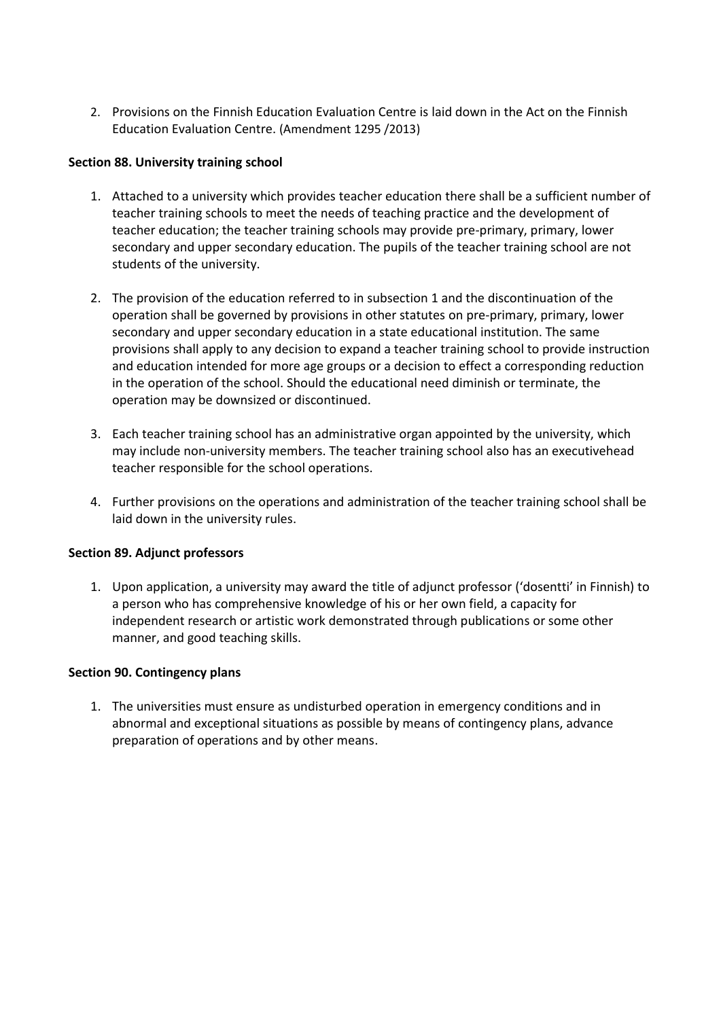2. Provisions on the Finnish Education Evaluation Centre is laid down in the Act on the Finnish Education Evaluation Centre. (Amendment 1295 /2013)

#### **Section 88. University training school**

- 1. Attached to a university which provides teacher education there shall be a sufficient number of teacher training schools to meet the needs of teaching practice and the development of teacher education; the teacher training schools may provide pre-primary, primary, lower secondary and upper secondary education. The pupils of the teacher training school are not students of the university.
- 2. The provision of the education referred to in subsection 1 and the discontinuation of the operation shall be governed by provisions in other statutes on pre-primary, primary, lower secondary and upper secondary education in a state educational institution. The same provisions shall apply to any decision to expand a teacher training school to provide instruction and education intended for more age groups or a decision to effect a corresponding reduction in the operation of the school. Should the educational need diminish or terminate, the operation may be downsized or discontinued.
- 3. Each teacher training school has an administrative organ appointed by the university, which may include non-university members. The teacher training school also has an executivehead teacher responsible for the school operations.
- 4. Further provisions on the operations and administration of the teacher training school shall be laid down in the university rules.

#### **Section 89. Adjunct professors**

1. Upon application, a university may award the title of adjunct professor ('dosentti' in Finnish) to a person who has comprehensive knowledge of his or her own field, a capacity for independent research or artistic work demonstrated through publications or some other manner, and good teaching skills.

#### **Section 90. Contingency plans**

1. The universities must ensure as undisturbed operation in emergency conditions and in abnormal and exceptional situations as possible by means of contingency plans, advance preparation of operations and by other means.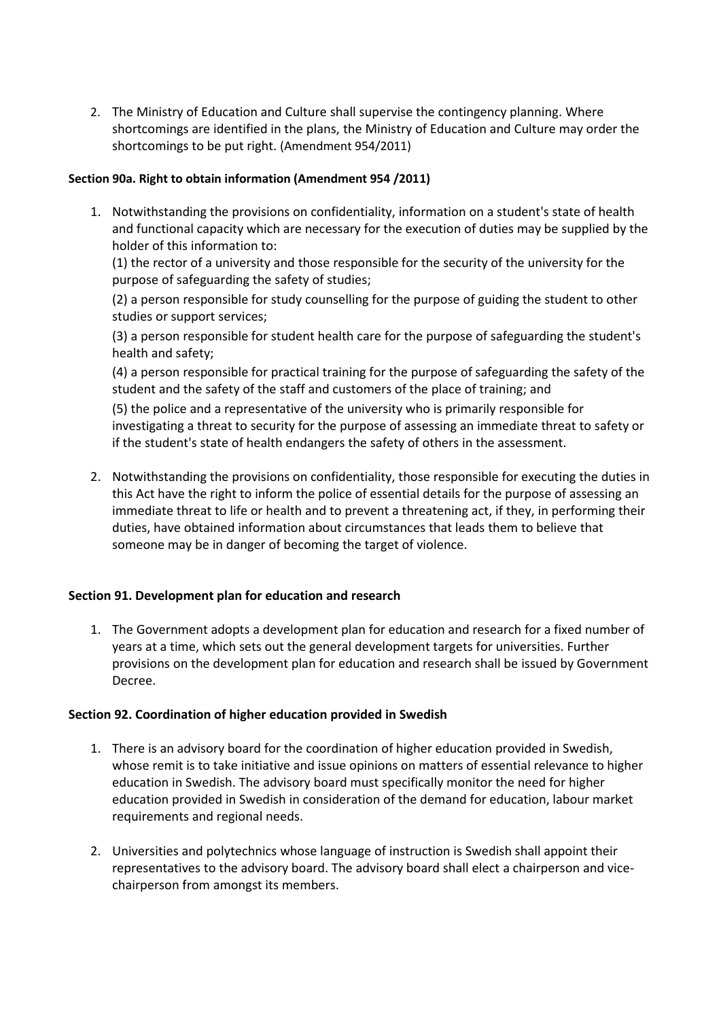2. The Ministry of Education and Culture shall supervise the contingency planning. Where shortcomings are identified in the plans, the Ministry of Education and Culture may order the shortcomings to be put right. (Amendment 954/2011)

#### **Section 90a. Right to obtain information (Amendment 954 /2011)**

1. Notwithstanding the provisions on confidentiality, information on a student's state of health and functional capacity which are necessary for the execution of duties may be supplied by the holder of this information to:

(1) the rector of a university and those responsible for the security of the university for the purpose of safeguarding the safety of studies;

(2) a person responsible for study counselling for the purpose of guiding the student to other studies or support services;

(3) a person responsible for student health care for the purpose of safeguarding the student's health and safety;

(4) a person responsible for practical training for the purpose of safeguarding the safety of the student and the safety of the staff and customers of the place of training; and

(5) the police and a representative of the university who is primarily responsible for investigating a threat to security for the purpose of assessing an immediate threat to safety or if the student's state of health endangers the safety of others in the assessment.

2. Notwithstanding the provisions on confidentiality, those responsible for executing the duties in this Act have the right to inform the police of essential details for the purpose of assessing an immediate threat to life or health and to prevent a threatening act, if they, in performing their duties, have obtained information about circumstances that leads them to believe that someone may be in danger of becoming the target of violence.

#### **Section 91. Development plan for education and research**

1. The Government adopts a development plan for education and research for a fixed number of years at a time, which sets out the general development targets for universities. Further provisions on the development plan for education and research shall be issued by Government Decree.

#### **Section 92. Coordination of higher education provided in Swedish**

- 1. There is an advisory board for the coordination of higher education provided in Swedish, whose remit is to take initiative and issue opinions on matters of essential relevance to higher education in Swedish. The advisory board must specifically monitor the need for higher education provided in Swedish in consideration of the demand for education, labour market requirements and regional needs.
- 2. Universities and polytechnics whose language of instruction is Swedish shall appoint their representatives to the advisory board. The advisory board shall elect a chairperson and vicechairperson from amongst its members.